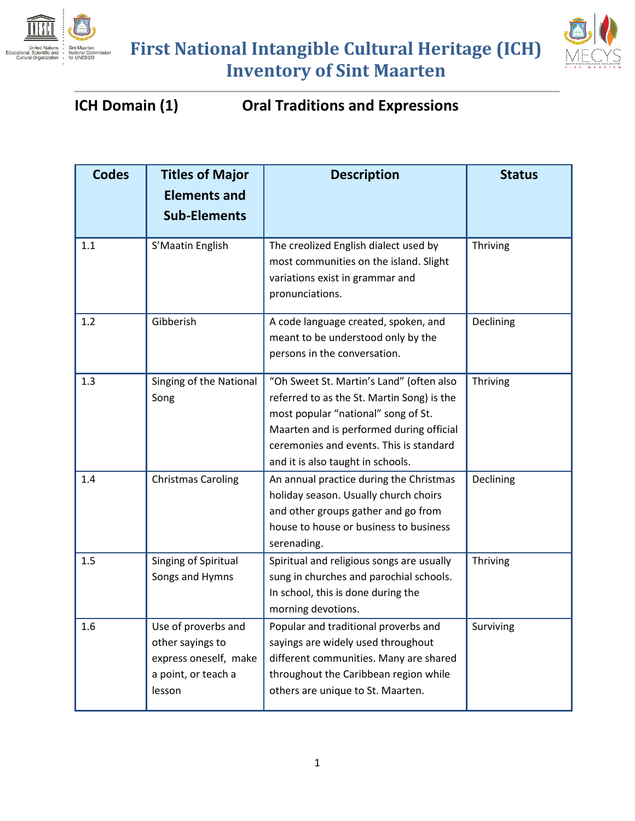



#### **ICH Domain (1) Oral Traditions and Expressions**

| <b>Codes</b> | <b>Titles of Major</b>                                                                            | <b>Description</b>                                                                                                                                                                                                                                        | <b>Status</b> |
|--------------|---------------------------------------------------------------------------------------------------|-----------------------------------------------------------------------------------------------------------------------------------------------------------------------------------------------------------------------------------------------------------|---------------|
|              | <b>Elements and</b>                                                                               |                                                                                                                                                                                                                                                           |               |
|              | <b>Sub-Elements</b>                                                                               |                                                                                                                                                                                                                                                           |               |
| 1.1          | S'Maatin English                                                                                  | The creolized English dialect used by<br>most communities on the island. Slight<br>variations exist in grammar and<br>pronunciations.                                                                                                                     | Thriving      |
| 1.2          | Gibberish                                                                                         | A code language created, spoken, and<br>meant to be understood only by the<br>persons in the conversation.                                                                                                                                                | Declining     |
| 1.3          | Singing of the National<br>Song                                                                   | "Oh Sweet St. Martin's Land" (often also<br>referred to as the St. Martin Song) is the<br>most popular "national" song of St.<br>Maarten and is performed during official<br>ceremonies and events. This is standard<br>and it is also taught in schools. | Thriving      |
| 1.4          | <b>Christmas Caroling</b>                                                                         | An annual practice during the Christmas<br>holiday season. Usually church choirs<br>and other groups gather and go from<br>house to house or business to business<br>serenading.                                                                          | Declining     |
| 1.5          | Singing of Spiritual<br>Songs and Hymns                                                           | Spiritual and religious songs are usually<br>sung in churches and parochial schools.<br>In school, this is done during the<br>morning devotions.                                                                                                          | Thriving      |
| 1.6          | Use of proverbs and<br>other sayings to<br>express oneself, make<br>a point, or teach a<br>lesson | Popular and traditional proverbs and<br>sayings are widely used throughout<br>different communities. Many are shared<br>throughout the Caribbean region while<br>others are unique to St. Maarten.                                                        | Surviving     |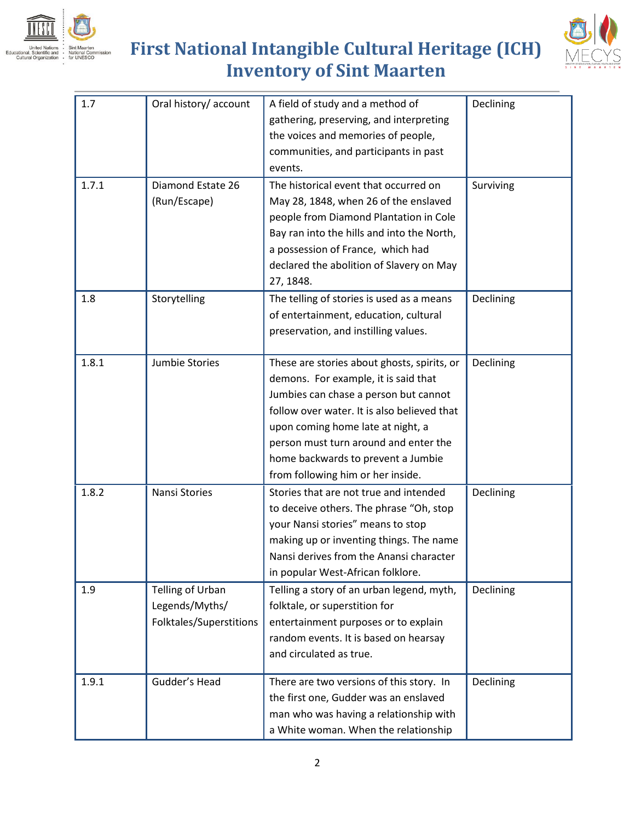



| 1.7   | Oral history/ account   | A field of study and a method of            | Declining |
|-------|-------------------------|---------------------------------------------|-----------|
|       |                         | gathering, preserving, and interpreting     |           |
|       |                         | the voices and memories of people,          |           |
|       |                         | communities, and participants in past       |           |
|       |                         | events.                                     |           |
| 1.7.1 | Diamond Estate 26       | The historical event that occurred on       | Surviving |
|       | (Run/Escape)            | May 28, 1848, when 26 of the enslaved       |           |
|       |                         | people from Diamond Plantation in Cole      |           |
|       |                         | Bay ran into the hills and into the North,  |           |
|       |                         | a possession of France, which had           |           |
|       |                         | declared the abolition of Slavery on May    |           |
|       |                         | 27, 1848.                                   |           |
| 1.8   | Storytelling            | The telling of stories is used as a means   | Declining |
|       |                         | of entertainment, education, cultural       |           |
|       |                         | preservation, and instilling values.        |           |
|       |                         |                                             |           |
| 1.8.1 | Jumbie Stories          | These are stories about ghosts, spirits, or | Declining |
|       |                         | demons. For example, it is said that        |           |
|       |                         | Jumbies can chase a person but cannot       |           |
|       |                         | follow over water. It is also believed that |           |
|       |                         | upon coming home late at night, a           |           |
|       |                         | person must turn around and enter the       |           |
|       |                         | home backwards to prevent a Jumbie          |           |
|       |                         | from following him or her inside.           |           |
| 1.8.2 | Nansi Stories           | Stories that are not true and intended      | Declining |
|       |                         | to deceive others. The phrase "Oh, stop     |           |
|       |                         | your Nansi stories" means to stop           |           |
|       |                         | making up or inventing things. The name     |           |
|       |                         | Nansi derives from the Anansi character     |           |
|       |                         | in popular West-African folklore.           |           |
| 1.9   | Telling of Urban        | Telling a story of an urban legend, myth,   | Declining |
|       | Legends/Myths/          | folktale, or superstition for               |           |
|       | Folktales/Superstitions | entertainment purposes or to explain        |           |
|       |                         | random events. It is based on hearsay       |           |
|       |                         | and circulated as true.                     |           |
| 1.9.1 | Gudder's Head           | There are two versions of this story. In    | Declining |
|       |                         | the first one, Gudder was an enslaved       |           |
|       |                         | man who was having a relationship with      |           |
|       |                         | a White woman. When the relationship        |           |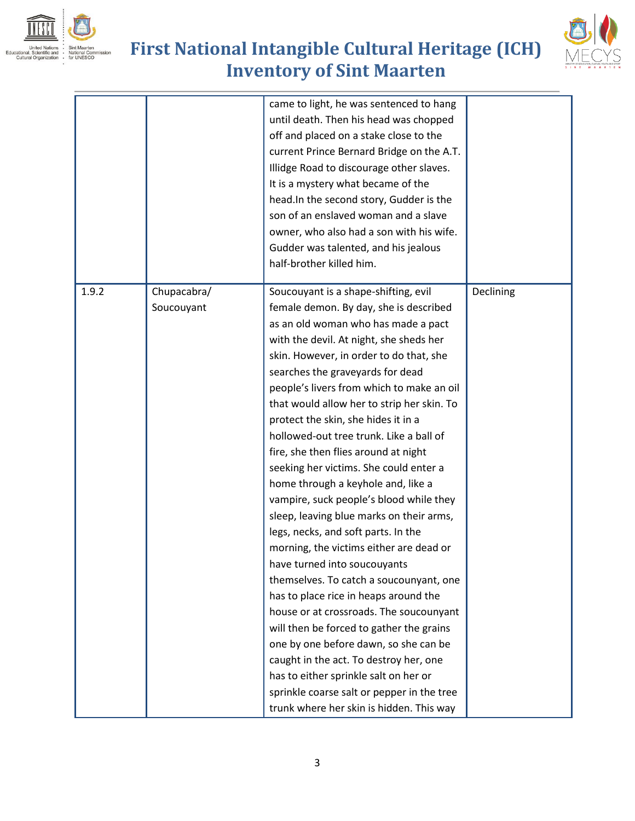





|       |                           | came to light, he was sentenced to hang<br>until death. Then his head was chopped<br>off and placed on a stake close to the<br>current Prince Bernard Bridge on the A.T.<br>Illidge Road to discourage other slaves.<br>It is a mystery what became of the<br>head. In the second story, Gudder is the<br>son of an enslaved woman and a slave<br>owner, who also had a son with his wife.<br>Gudder was talented, and his jealous<br>half-brother killed him.                                                                                                                                                                                                                                                                                                                                                                                                                                                                                                                                                                                                                                                                                                 |           |
|-------|---------------------------|----------------------------------------------------------------------------------------------------------------------------------------------------------------------------------------------------------------------------------------------------------------------------------------------------------------------------------------------------------------------------------------------------------------------------------------------------------------------------------------------------------------------------------------------------------------------------------------------------------------------------------------------------------------------------------------------------------------------------------------------------------------------------------------------------------------------------------------------------------------------------------------------------------------------------------------------------------------------------------------------------------------------------------------------------------------------------------------------------------------------------------------------------------------|-----------|
| 1.9.2 | Chupacabra/<br>Soucouyant | Soucouyant is a shape-shifting, evil<br>female demon. By day, she is described<br>as an old woman who has made a pact<br>with the devil. At night, she sheds her<br>skin. However, in order to do that, she<br>searches the graveyards for dead<br>people's livers from which to make an oil<br>that would allow her to strip her skin. To<br>protect the skin, she hides it in a<br>hollowed-out tree trunk. Like a ball of<br>fire, she then flies around at night<br>seeking her victims. She could enter a<br>home through a keyhole and, like a<br>vampire, suck people's blood while they<br>sleep, leaving blue marks on their arms,<br>legs, necks, and soft parts. In the<br>morning, the victims either are dead or<br>have turned into soucouyants<br>themselves. To catch a soucounyant, one<br>has to place rice in heaps around the<br>house or at crossroads. The soucounyant<br>will then be forced to gather the grains<br>one by one before dawn, so she can be<br>caught in the act. To destroy her, one<br>has to either sprinkle salt on her or<br>sprinkle coarse salt or pepper in the tree<br>trunk where her skin is hidden. This way | Declining |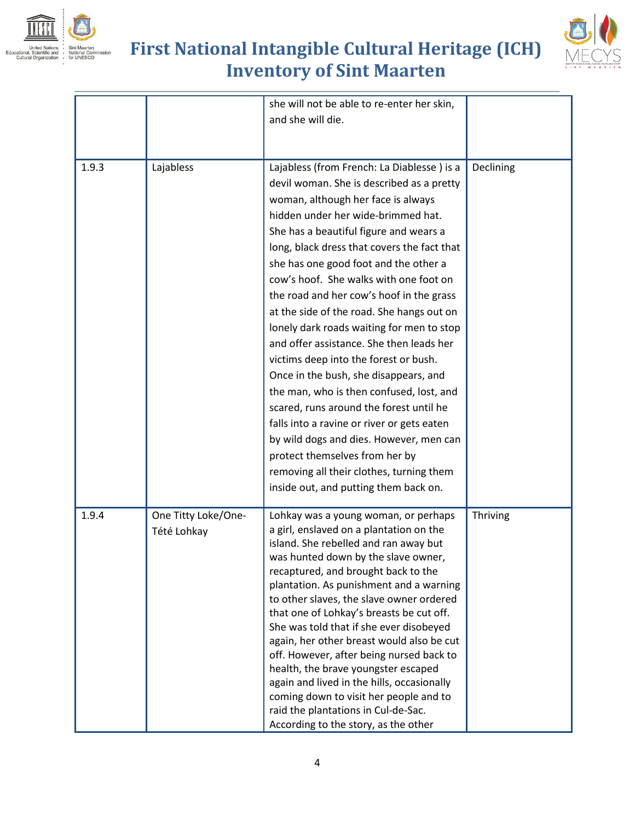





|       |                                    | she will not be able to re-enter her skin,<br>and she will die.                                                                                                                                                                                                                                                                                                                                                                                                                                                                                                                                                                                                                                                                                                                                                                                                                                                            |           |
|-------|------------------------------------|----------------------------------------------------------------------------------------------------------------------------------------------------------------------------------------------------------------------------------------------------------------------------------------------------------------------------------------------------------------------------------------------------------------------------------------------------------------------------------------------------------------------------------------------------------------------------------------------------------------------------------------------------------------------------------------------------------------------------------------------------------------------------------------------------------------------------------------------------------------------------------------------------------------------------|-----------|
| 1.9.3 | Lajabless                          | Lajabless (from French: La Diablesse) is a<br>devil woman. She is described as a pretty<br>woman, although her face is always<br>hidden under her wide-brimmed hat.<br>She has a beautiful figure and wears a<br>long, black dress that covers the fact that<br>she has one good foot and the other a<br>cow's hoof. She walks with one foot on<br>the road and her cow's hoof in the grass<br>at the side of the road. She hangs out on<br>lonely dark roads waiting for men to stop<br>and offer assistance. She then leads her<br>victims deep into the forest or bush.<br>Once in the bush, she disappears, and<br>the man, who is then confused, lost, and<br>scared, runs around the forest until he<br>falls into a ravine or river or gets eaten<br>by wild dogs and dies. However, men can<br>protect themselves from her by<br>removing all their clothes, turning them<br>inside out, and putting them back on. | Declining |
| 1.9.4 | One Titty Loke/One-<br>Tété Lohkay | Lohkay was a young woman, or perhaps<br>a girl, enslaved on a plantation on the<br>island. She rebelled and ran away but<br>was hunted down by the slave owner,<br>recaptured, and brought back to the<br>plantation. As punishment and a warning<br>to other slaves, the slave owner ordered<br>that one of Lohkay's breasts be cut off.<br>She was told that if she ever disobeyed<br>again, her other breast would also be cut<br>off. However, after being nursed back to<br>health, the brave youngster escaped<br>again and lived in the hills, occasionally<br>coming down to visit her people and to<br>raid the plantations in Cul-de-Sac.<br>According to the story, as the other                                                                                                                                                                                                                                | Thriving  |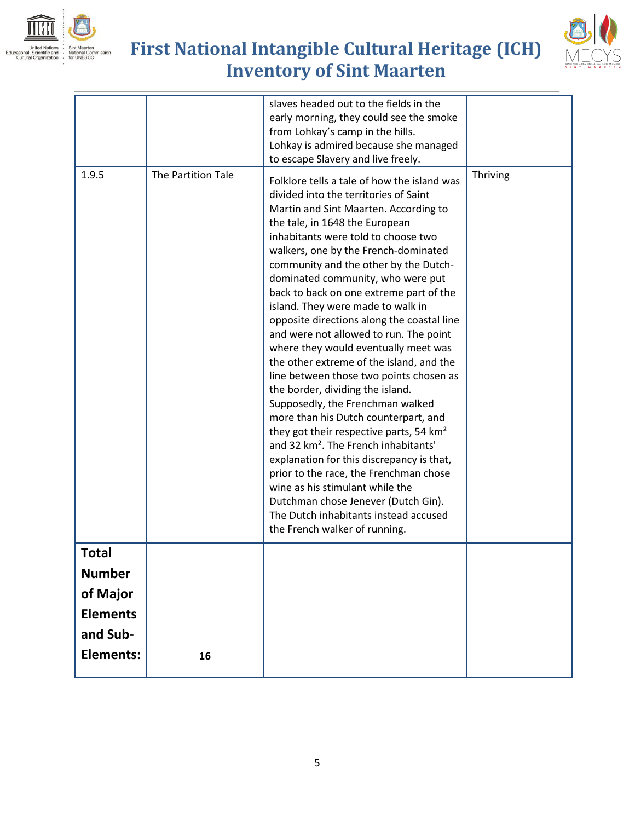





| 1.9.5                                                             | The Partition Tale | slaves headed out to the fields in the<br>early morning, they could see the smoke<br>from Lohkay's camp in the hills.<br>Lohkay is admired because she managed<br>to escape Slavery and live freely.<br>Folklore tells a tale of how the island was<br>divided into the territories of Saint<br>Martin and Sint Maarten. According to<br>the tale, in 1648 the European<br>inhabitants were told to choose two<br>walkers, one by the French-dominated<br>community and the other by the Dutch-<br>dominated community, who were put<br>back to back on one extreme part of the<br>island. They were made to walk in<br>opposite directions along the coastal line<br>and were not allowed to run. The point<br>where they would eventually meet was<br>the other extreme of the island, and the<br>line between those two points chosen as<br>the border, dividing the island.<br>Supposedly, the Frenchman walked<br>more than his Dutch counterpart, and<br>they got their respective parts, 54 km <sup>2</sup><br>and 32 km <sup>2</sup> . The French inhabitants'<br>explanation for this discrepancy is that,<br>prior to the race, the Frenchman chose<br>wine as his stimulant while the | Thriving |
|-------------------------------------------------------------------|--------------------|--------------------------------------------------------------------------------------------------------------------------------------------------------------------------------------------------------------------------------------------------------------------------------------------------------------------------------------------------------------------------------------------------------------------------------------------------------------------------------------------------------------------------------------------------------------------------------------------------------------------------------------------------------------------------------------------------------------------------------------------------------------------------------------------------------------------------------------------------------------------------------------------------------------------------------------------------------------------------------------------------------------------------------------------------------------------------------------------------------------------------------------------------------------------------------------------------|----------|
|                                                                   |                    | Dutchman chose Jenever (Dutch Gin).<br>The Dutch inhabitants instead accused<br>the French walker of running.                                                                                                                                                                                                                                                                                                                                                                                                                                                                                                                                                                                                                                                                                                                                                                                                                                                                                                                                                                                                                                                                                    |          |
| Total<br><b>Number</b><br>of Major<br><b>Elements</b><br>and Sub- |                    |                                                                                                                                                                                                                                                                                                                                                                                                                                                                                                                                                                                                                                                                                                                                                                                                                                                                                                                                                                                                                                                                                                                                                                                                  |          |
| <b>Elements:</b>                                                  | 16                 |                                                                                                                                                                                                                                                                                                                                                                                                                                                                                                                                                                                                                                                                                                                                                                                                                                                                                                                                                                                                                                                                                                                                                                                                  |          |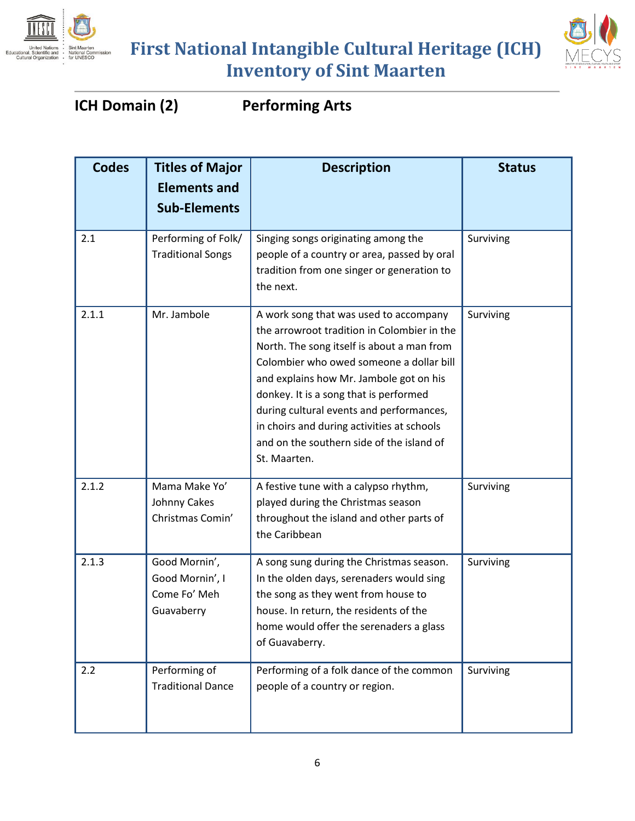



#### **ICH Domain (2) Performing Arts**

| <b>Codes</b> | <b>Titles of Major</b><br><b>Elements and</b><br><b>Sub-Elements</b> | <b>Description</b>                                                                                                                                                                                                                                                                                                                                                                                                          | <b>Status</b> |
|--------------|----------------------------------------------------------------------|-----------------------------------------------------------------------------------------------------------------------------------------------------------------------------------------------------------------------------------------------------------------------------------------------------------------------------------------------------------------------------------------------------------------------------|---------------|
| 2.1          | Performing of Folk/<br><b>Traditional Songs</b>                      | Singing songs originating among the<br>people of a country or area, passed by oral<br>tradition from one singer or generation to<br>the next.                                                                                                                                                                                                                                                                               | Surviving     |
| 2.1.1        | Mr. Jambole                                                          | A work song that was used to accompany<br>the arrowroot tradition in Colombier in the<br>North. The song itself is about a man from<br>Colombier who owed someone a dollar bill<br>and explains how Mr. Jambole got on his<br>donkey. It is a song that is performed<br>during cultural events and performances,<br>in choirs and during activities at schools<br>and on the southern side of the island of<br>St. Maarten. | Surviving     |
| 2.1.2        | Mama Make Yo'<br>Johnny Cakes<br>Christmas Comin'                    | A festive tune with a calypso rhythm,<br>played during the Christmas season<br>throughout the island and other parts of<br>the Caribbean                                                                                                                                                                                                                                                                                    | Surviving     |
| 2.1.3        | Good Mornin',<br>Good Mornin', I<br>Come Fo' Meh<br>Guavaberry       | A song sung during the Christmas season.<br>In the olden days, serenaders would sing<br>the song as they went from house to<br>house. In return, the residents of the<br>home would offer the serenaders a glass<br>of Guavaberry.                                                                                                                                                                                          | Surviving     |
| 2.2          | Performing of<br><b>Traditional Dance</b>                            | Performing of a folk dance of the common<br>people of a country or region.                                                                                                                                                                                                                                                                                                                                                  | Surviving     |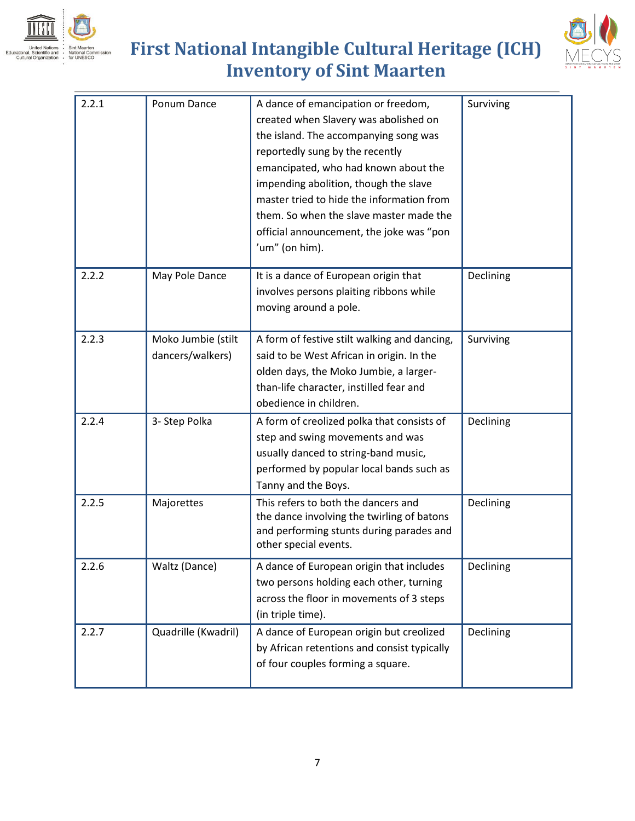





| 2.2.1 | Ponum Dance                            | A dance of emancipation or freedom,<br>created when Slavery was abolished on<br>the island. The accompanying song was<br>reportedly sung by the recently<br>emancipated, who had known about the<br>impending abolition, though the slave<br>master tried to hide the information from<br>them. So when the slave master made the<br>official announcement, the joke was "pon<br>'um" (on him). | Surviving |
|-------|----------------------------------------|-------------------------------------------------------------------------------------------------------------------------------------------------------------------------------------------------------------------------------------------------------------------------------------------------------------------------------------------------------------------------------------------------|-----------|
| 2.2.2 | May Pole Dance                         | It is a dance of European origin that<br>involves persons plaiting ribbons while<br>moving around a pole.                                                                                                                                                                                                                                                                                       | Declining |
| 2.2.3 | Moko Jumbie (stilt<br>dancers/walkers) | A form of festive stilt walking and dancing,<br>said to be West African in origin. In the<br>olden days, the Moko Jumbie, a larger-<br>than-life character, instilled fear and<br>obedience in children.                                                                                                                                                                                        | Surviving |
| 2.2.4 | 3- Step Polka                          | A form of creolized polka that consists of<br>step and swing movements and was<br>usually danced to string-band music,<br>performed by popular local bands such as<br>Tanny and the Boys.                                                                                                                                                                                                       | Declining |
| 2.2.5 | Majorettes                             | This refers to both the dancers and<br>the dance involving the twirling of batons<br>and performing stunts during parades and<br>other special events.                                                                                                                                                                                                                                          | Declining |
| 2.2.6 | Waltz (Dance)                          | A dance of European origin that includes<br>two persons holding each other, turning<br>across the floor in movements of 3 steps<br>(in triple time).                                                                                                                                                                                                                                            | Declining |
| 2.2.7 | Quadrille (Kwadril)                    | A dance of European origin but creolized<br>by African retentions and consist typically<br>of four couples forming a square.                                                                                                                                                                                                                                                                    | Declining |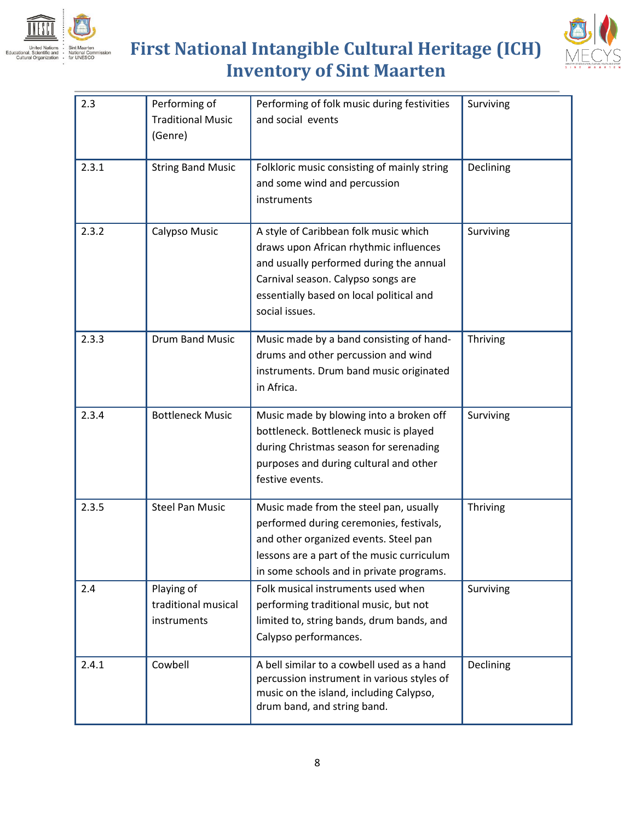



| 2.3   | Performing of<br><b>Traditional Music</b><br>(Genre) | Performing of folk music during festivities<br>and social events                                                                                                                                                               | Surviving |
|-------|------------------------------------------------------|--------------------------------------------------------------------------------------------------------------------------------------------------------------------------------------------------------------------------------|-----------|
| 2.3.1 | <b>String Band Music</b>                             | Folkloric music consisting of mainly string<br>and some wind and percussion<br>instruments                                                                                                                                     | Declining |
| 2.3.2 | Calypso Music                                        | A style of Caribbean folk music which<br>draws upon African rhythmic influences<br>and usually performed during the annual<br>Carnival season. Calypso songs are<br>essentially based on local political and<br>social issues. | Surviving |
| 2.3.3 | Drum Band Music                                      | Music made by a band consisting of hand-<br>drums and other percussion and wind<br>instruments. Drum band music originated<br>in Africa.                                                                                       | Thriving  |
| 2.3.4 | <b>Bottleneck Music</b>                              | Music made by blowing into a broken off<br>bottleneck. Bottleneck music is played<br>during Christmas season for serenading<br>purposes and during cultural and other<br>festive events.                                       | Surviving |
| 2.3.5 | <b>Steel Pan Music</b>                               | Music made from the steel pan, usually<br>performed during ceremonies, festivals,<br>and other organized events. Steel pan<br>lessons are a part of the music curriculum<br>in some schools and in private programs.           | Thriving  |
| 2.4   | Playing of<br>traditional musical<br>instruments     | Folk musical instruments used when<br>performing traditional music, but not<br>limited to, string bands, drum bands, and<br>Calypso performances.                                                                              | Surviving |
| 2.4.1 | Cowbell                                              | A bell similar to a cowbell used as a hand<br>percussion instrument in various styles of<br>music on the island, including Calypso,<br>drum band, and string band.                                                             | Declining |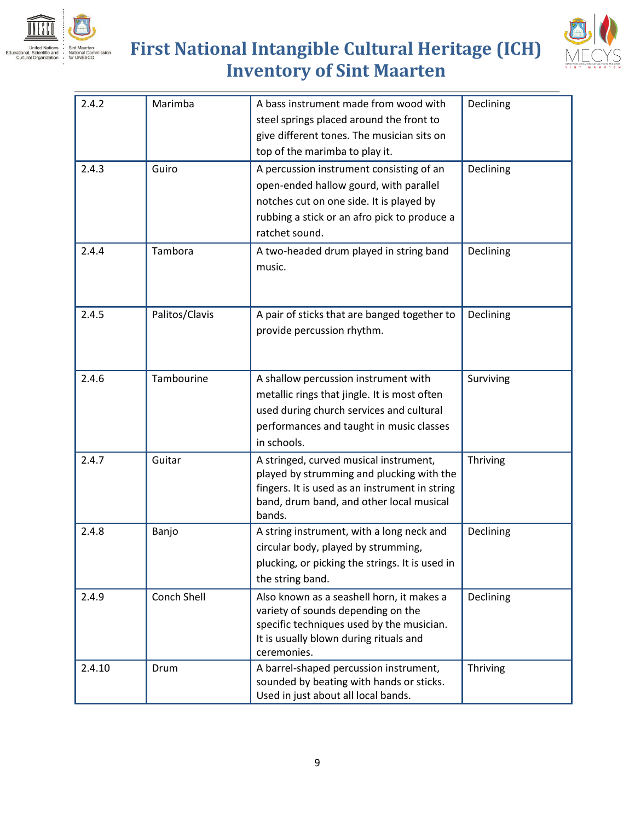



| 2.4.2  | Marimba        | A bass instrument made from wood with                                           | Declining |
|--------|----------------|---------------------------------------------------------------------------------|-----------|
|        |                | steel springs placed around the front to                                        |           |
|        |                | give different tones. The musician sits on                                      |           |
|        |                | top of the marimba to play it.                                                  |           |
| 2.4.3  | Guiro          | A percussion instrument consisting of an                                        | Declining |
|        |                | open-ended hallow gourd, with parallel                                          |           |
|        |                | notches cut on one side. It is played by                                        |           |
|        |                | rubbing a stick or an afro pick to produce a                                    |           |
|        |                | ratchet sound.                                                                  |           |
| 2.4.4  | Tambora        | A two-headed drum played in string band                                         | Declining |
|        |                | music.                                                                          |           |
|        |                |                                                                                 |           |
|        |                |                                                                                 |           |
| 2.4.5  | Palitos/Clavis | A pair of sticks that are banged together to                                    | Declining |
|        |                | provide percussion rhythm.                                                      |           |
|        |                |                                                                                 |           |
|        |                |                                                                                 |           |
| 2.4.6  | Tambourine     | A shallow percussion instrument with                                            | Surviving |
|        |                | metallic rings that jingle. It is most often                                    |           |
|        |                | used during church services and cultural                                        |           |
|        |                | performances and taught in music classes                                        |           |
|        |                | in schools.                                                                     |           |
| 2.4.7  | Guitar         | A stringed, curved musical instrument,                                          | Thriving  |
|        |                | played by strumming and plucking with the                                       |           |
|        |                | fingers. It is used as an instrument in string                                  |           |
|        |                | band, drum band, and other local musical<br>bands.                              |           |
| 2.4.8  | Banjo          | A string instrument, with a long neck and                                       | Declining |
|        |                | circular body, played by strumming,                                             |           |
|        |                | plucking, or picking the strings. It is used in                                 |           |
|        |                | the string band.                                                                |           |
| 2.4.9  | Conch Shell    | Also known as a seashell horn, it makes a                                       | Declining |
|        |                | variety of sounds depending on the                                              |           |
|        |                | specific techniques used by the musician.                                       |           |
|        |                | It is usually blown during rituals and                                          |           |
|        |                | ceremonies.                                                                     |           |
| 2.4.10 | Drum           | A barrel-shaped percussion instrument,                                          | Thriving  |
|        |                | sounded by beating with hands or sticks.<br>Used in just about all local bands. |           |
|        |                |                                                                                 |           |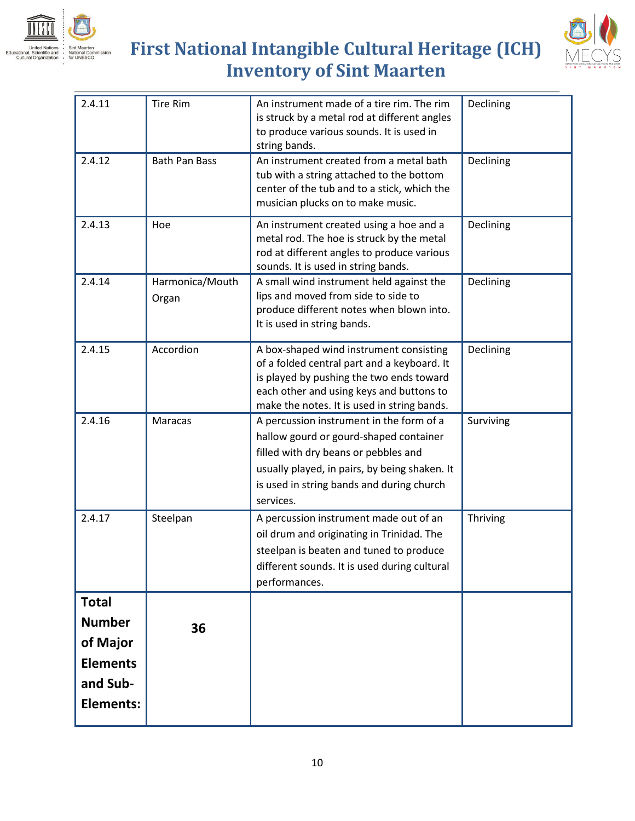



| 2.4.11           | <b>Tire Rim</b>          | An instrument made of a tire rim. The rim<br>is struck by a metal rod at different angles<br>to produce various sounds. It is used in<br>string bands.                                                                                | Declining |
|------------------|--------------------------|---------------------------------------------------------------------------------------------------------------------------------------------------------------------------------------------------------------------------------------|-----------|
| 2.4.12           | <b>Bath Pan Bass</b>     | An instrument created from a metal bath<br>tub with a string attached to the bottom<br>center of the tub and to a stick, which the<br>musician plucks on to make music.                                                               | Declining |
| 2.4.13           | Hoe                      | An instrument created using a hoe and a<br>metal rod. The hoe is struck by the metal<br>rod at different angles to produce various<br>sounds. It is used in string bands.                                                             | Declining |
| 2.4.14           | Harmonica/Mouth<br>Organ | A small wind instrument held against the<br>lips and moved from side to side to<br>produce different notes when blown into.<br>It is used in string bands.                                                                            | Declining |
| 2.4.15           | Accordion                | A box-shaped wind instrument consisting<br>of a folded central part and a keyboard. It<br>is played by pushing the two ends toward<br>each other and using keys and buttons to<br>make the notes. It is used in string bands.         | Declining |
| 2.4.16           | Maracas                  | A percussion instrument in the form of a<br>hallow gourd or gourd-shaped container<br>filled with dry beans or pebbles and<br>usually played, in pairs, by being shaken. It<br>is used in string bands and during church<br>services. | Surviving |
| 2.4.17           | Steelpan                 | A percussion instrument made out of an<br>oil drum and originating in Trinidad. The<br>steelpan is beaten and tuned to produce<br>different sounds. It is used during cultural<br>performances.                                       | Thriving  |
| <b>Total</b>     |                          |                                                                                                                                                                                                                                       |           |
| <b>Number</b>    | 36                       |                                                                                                                                                                                                                                       |           |
| of Major         |                          |                                                                                                                                                                                                                                       |           |
| <b>Elements</b>  |                          |                                                                                                                                                                                                                                       |           |
| and Sub-         |                          |                                                                                                                                                                                                                                       |           |
| <b>Elements:</b> |                          |                                                                                                                                                                                                                                       |           |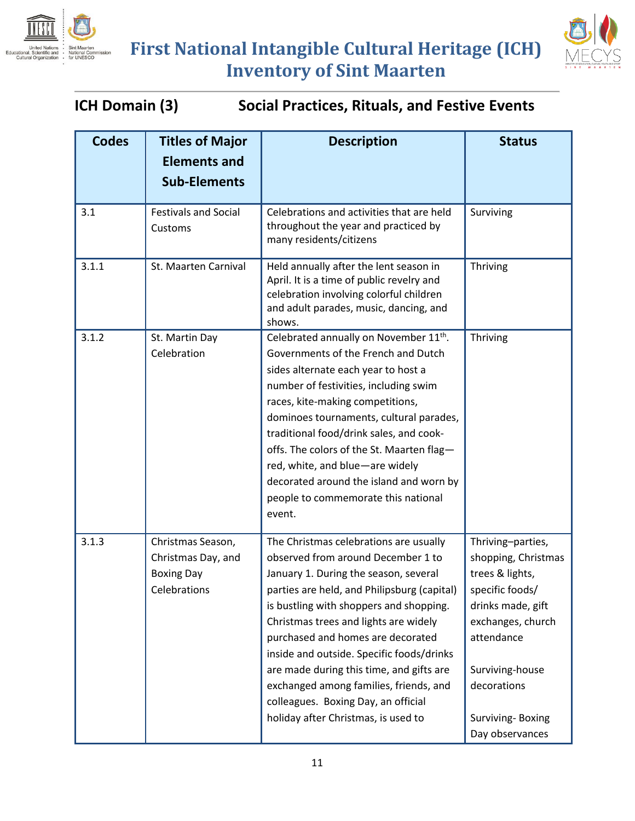



**ICH Domain (3) Social Practices, Rituals, and Festive Events**

| <b>Codes</b> | <b>Titles of Major</b><br><b>Elements and</b><br><b>Sub-Elements</b>         | <b>Description</b>                                                                                                                                                                                                                                                                                                                                                                                                                                                                                             | <b>Status</b>                                                                                                                                                                                                   |
|--------------|------------------------------------------------------------------------------|----------------------------------------------------------------------------------------------------------------------------------------------------------------------------------------------------------------------------------------------------------------------------------------------------------------------------------------------------------------------------------------------------------------------------------------------------------------------------------------------------------------|-----------------------------------------------------------------------------------------------------------------------------------------------------------------------------------------------------------------|
| 3.1          | <b>Festivals and Social</b><br>Customs                                       | Celebrations and activities that are held<br>throughout the year and practiced by<br>many residents/citizens                                                                                                                                                                                                                                                                                                                                                                                                   | Surviving                                                                                                                                                                                                       |
| 3.1.1        | St. Maarten Carnival                                                         | Held annually after the lent season in<br>April. It is a time of public revelry and<br>celebration involving colorful children<br>and adult parades, music, dancing, and<br>shows.                                                                                                                                                                                                                                                                                                                             | Thriving                                                                                                                                                                                                        |
| 3.1.2        | St. Martin Day<br>Celebration                                                | Celebrated annually on November 11 <sup>th</sup> .<br>Governments of the French and Dutch<br>sides alternate each year to host a<br>number of festivities, including swim<br>races, kite-making competitions,<br>dominoes tournaments, cultural parades,<br>traditional food/drink sales, and cook-<br>offs. The colors of the St. Maarten flag-<br>red, white, and blue-are widely<br>decorated around the island and worn by<br>people to commemorate this national<br>event.                                | Thriving                                                                                                                                                                                                        |
| 3.1.3        | Christmas Season,<br>Christmas Day, and<br><b>Boxing Day</b><br>Celebrations | The Christmas celebrations are usually<br>observed from around December 1 to<br>January 1. During the season, several<br>parties are held, and Philipsburg (capital)<br>is bustling with shoppers and shopping.<br>Christmas trees and lights are widely<br>purchased and homes are decorated<br>inside and outside. Specific foods/drinks<br>are made during this time, and gifts are<br>exchanged among families, friends, and<br>colleagues. Boxing Day, an official<br>holiday after Christmas, is used to | Thriving-parties,<br>shopping, Christmas<br>trees & lights,<br>specific foods/<br>drinks made, gift<br>exchanges, church<br>attendance<br>Surviving-house<br>decorations<br>Surviving-Boxing<br>Day observances |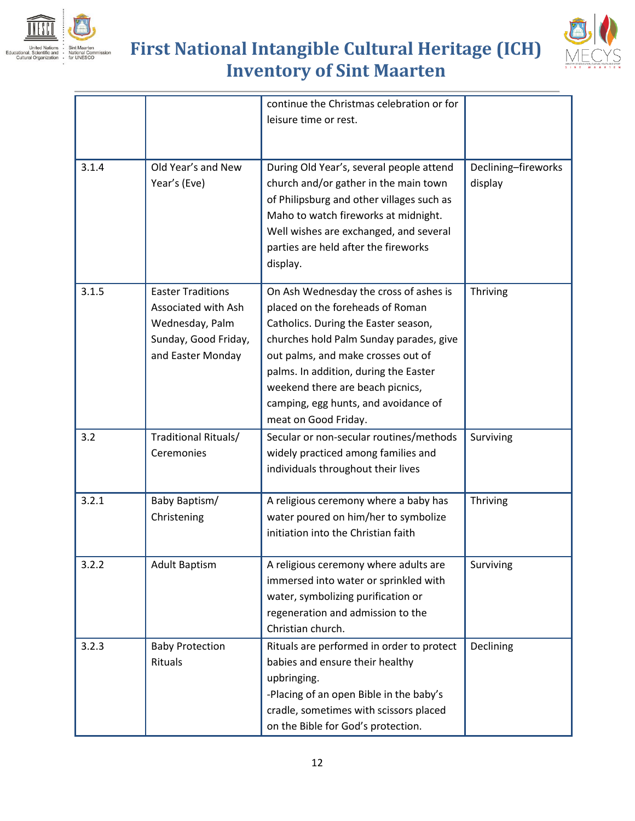





|       |                                                                                                                 | continue the Christmas celebration or for<br>leisure time or rest.                                                                                                                                                                                                                                                                               |                                |
|-------|-----------------------------------------------------------------------------------------------------------------|--------------------------------------------------------------------------------------------------------------------------------------------------------------------------------------------------------------------------------------------------------------------------------------------------------------------------------------------------|--------------------------------|
| 3.1.4 | Old Year's and New<br>Year's (Eve)                                                                              | During Old Year's, several people attend<br>church and/or gather in the main town<br>of Philipsburg and other villages such as<br>Maho to watch fireworks at midnight.<br>Well wishes are exchanged, and several<br>parties are held after the fireworks<br>display.                                                                             | Declining-fireworks<br>display |
| 3.1.5 | <b>Easter Traditions</b><br>Associated with Ash<br>Wednesday, Palm<br>Sunday, Good Friday,<br>and Easter Monday | On Ash Wednesday the cross of ashes is<br>placed on the foreheads of Roman<br>Catholics. During the Easter season,<br>churches hold Palm Sunday parades, give<br>out palms, and make crosses out of<br>palms. In addition, during the Easter<br>weekend there are beach picnics,<br>camping, egg hunts, and avoidance of<br>meat on Good Friday. | Thriving                       |
| 3.2   | Traditional Rituals/<br>Ceremonies                                                                              | Secular or non-secular routines/methods<br>widely practiced among families and<br>individuals throughout their lives                                                                                                                                                                                                                             | Surviving                      |
| 3.2.1 | Baby Baptism/<br>Christening                                                                                    | A religious ceremony where a baby has<br>water poured on him/her to symbolize<br>initiation into the Christian faith                                                                                                                                                                                                                             | Thriving                       |
| 3.2.2 | <b>Adult Baptism</b>                                                                                            | A religious ceremony where adults are<br>immersed into water or sprinkled with<br>water, symbolizing purification or<br>regeneration and admission to the<br>Christian church.                                                                                                                                                                   | Surviving                      |
| 3.2.3 | <b>Baby Protection</b><br>Rituals                                                                               | Rituals are performed in order to protect<br>babies and ensure their healthy<br>upbringing.<br>-Placing of an open Bible in the baby's<br>cradle, sometimes with scissors placed<br>on the Bible for God's protection.                                                                                                                           | Declining                      |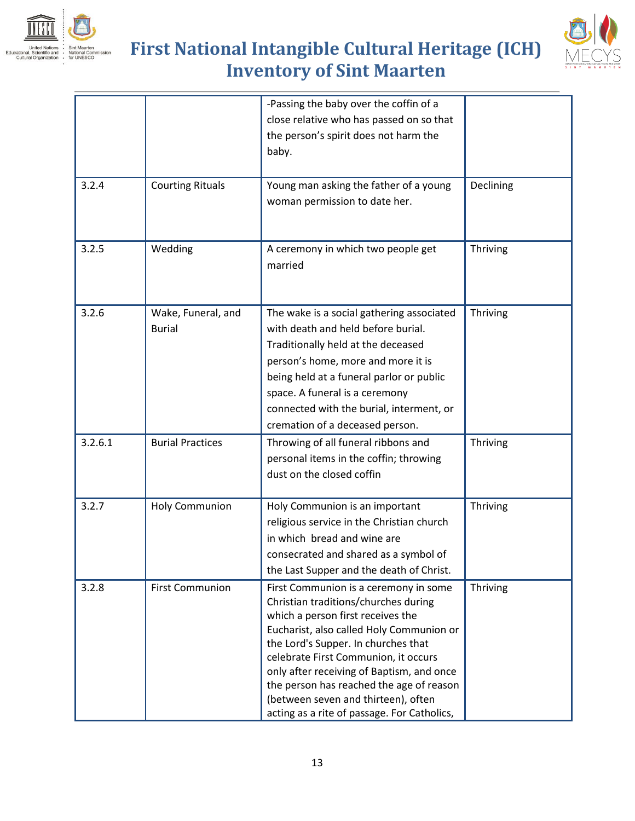



|         |                                     | -Passing the baby over the coffin of a<br>close relative who has passed on so that<br>the person's spirit does not harm the<br>baby.                                                                                                                                                                                                                                                                                         |           |
|---------|-------------------------------------|------------------------------------------------------------------------------------------------------------------------------------------------------------------------------------------------------------------------------------------------------------------------------------------------------------------------------------------------------------------------------------------------------------------------------|-----------|
| 3.2.4   | <b>Courting Rituals</b>             | Young man asking the father of a young<br>woman permission to date her.                                                                                                                                                                                                                                                                                                                                                      | Declining |
| 3.2.5   | Wedding                             | A ceremony in which two people get<br>married                                                                                                                                                                                                                                                                                                                                                                                | Thriving  |
| 3.2.6   | Wake, Funeral, and<br><b>Burial</b> | The wake is a social gathering associated<br>with death and held before burial.<br>Traditionally held at the deceased<br>person's home, more and more it is<br>being held at a funeral parlor or public<br>space. A funeral is a ceremony<br>connected with the burial, interment, or<br>cremation of a deceased person.                                                                                                     | Thriving  |
| 3.2.6.1 | <b>Burial Practices</b>             | Throwing of all funeral ribbons and<br>personal items in the coffin; throwing<br>dust on the closed coffin                                                                                                                                                                                                                                                                                                                   | Thriving  |
| 3.2.7   | <b>Holy Communion</b>               | Holy Communion is an important<br>religious service in the Christian church<br>in which bread and wine are<br>consecrated and shared as a symbol of<br>the Last Supper and the death of Christ.                                                                                                                                                                                                                              | Thriving  |
| 3.2.8   | <b>First Communion</b>              | First Communion is a ceremony in some<br>Christian traditions/churches during<br>which a person first receives the<br>Eucharist, also called Holy Communion or<br>the Lord's Supper. In churches that<br>celebrate First Communion, it occurs<br>only after receiving of Baptism, and once<br>the person has reached the age of reason<br>(between seven and thirteen), often<br>acting as a rite of passage. For Catholics, | Thriving  |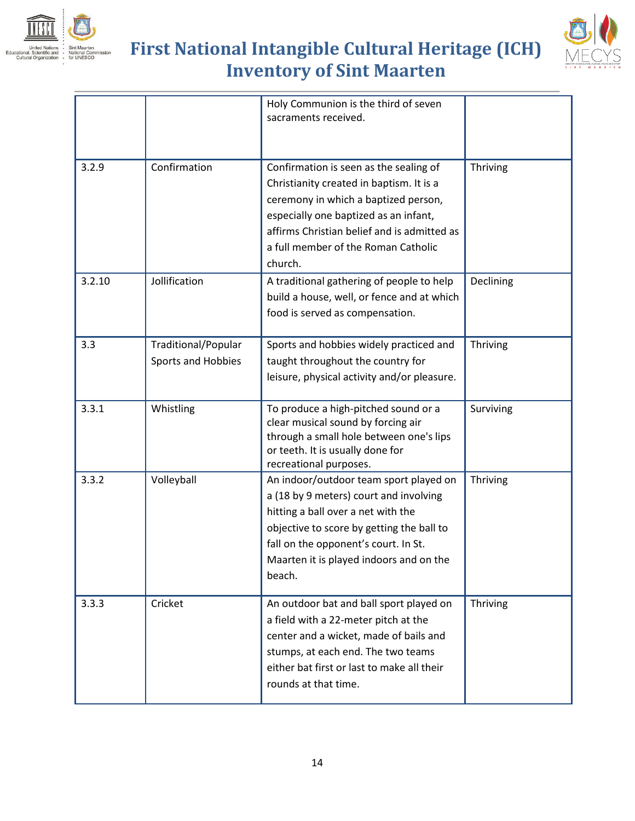





|        |                                           | Holy Communion is the third of seven<br>sacraments received.                                                                                                                                                                                                         |           |
|--------|-------------------------------------------|----------------------------------------------------------------------------------------------------------------------------------------------------------------------------------------------------------------------------------------------------------------------|-----------|
| 3.2.9  | Confirmation                              | Confirmation is seen as the sealing of<br>Christianity created in baptism. It is a<br>ceremony in which a baptized person,<br>especially one baptized as an infant,<br>affirms Christian belief and is admitted as<br>a full member of the Roman Catholic<br>church. | Thriving  |
| 3.2.10 | Jollification                             | A traditional gathering of people to help<br>build a house, well, or fence and at which<br>food is served as compensation.                                                                                                                                           | Declining |
| 3.3    | Traditional/Popular<br>Sports and Hobbies | Sports and hobbies widely practiced and<br>taught throughout the country for<br>leisure, physical activity and/or pleasure.                                                                                                                                          | Thriving  |
| 3.3.1  | Whistling                                 | To produce a high-pitched sound or a<br>clear musical sound by forcing air<br>through a small hole between one's lips<br>or teeth. It is usually done for<br>recreational purposes.                                                                                  | Surviving |
| 3.3.2  | Volleyball                                | An indoor/outdoor team sport played on<br>a (18 by 9 meters) court and involving<br>hitting a ball over a net with the<br>objective to score by getting the ball to<br>fall on the opponent's court. In St.<br>Maarten it is played indoors and on the<br>beach.     | Thriving  |
| 3.3.3  | Cricket                                   | An outdoor bat and ball sport played on<br>a field with a 22-meter pitch at the<br>center and a wicket, made of bails and<br>stumps, at each end. The two teams<br>either bat first or last to make all their<br>rounds at that time.                                | Thriving  |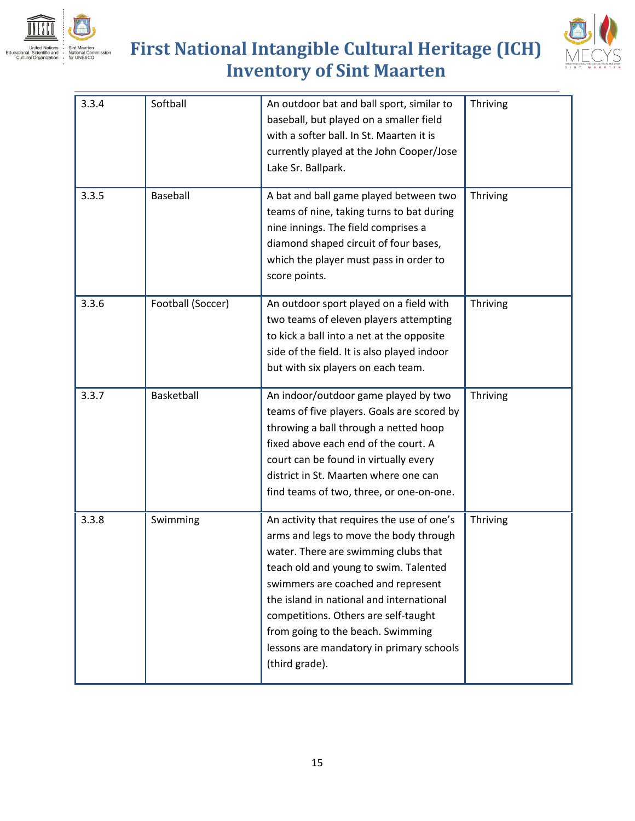



| 3.3.4 | Softball          | An outdoor bat and ball sport, similar to<br>baseball, but played on a smaller field<br>with a softer ball. In St. Maarten it is<br>currently played at the John Cooper/Jose<br>Lake Sr. Ballpark.                                                                                                                                                                                                 | Thriving |
|-------|-------------------|----------------------------------------------------------------------------------------------------------------------------------------------------------------------------------------------------------------------------------------------------------------------------------------------------------------------------------------------------------------------------------------------------|----------|
| 3.3.5 | Baseball          | A bat and ball game played between two<br>teams of nine, taking turns to bat during<br>nine innings. The field comprises a<br>diamond shaped circuit of four bases,<br>which the player must pass in order to<br>score points.                                                                                                                                                                     | Thriving |
| 3.3.6 | Football (Soccer) | An outdoor sport played on a field with<br>two teams of eleven players attempting<br>to kick a ball into a net at the opposite<br>side of the field. It is also played indoor<br>but with six players on each team.                                                                                                                                                                                | Thriving |
| 3.3.7 | Basketball        | An indoor/outdoor game played by two<br>teams of five players. Goals are scored by<br>throwing a ball through a netted hoop<br>fixed above each end of the court. A<br>court can be found in virtually every<br>district in St. Maarten where one can<br>find teams of two, three, or one-on-one.                                                                                                  | Thriving |
| 3.3.8 | Swimming          | An activity that requires the use of one's<br>arms and legs to move the body through<br>water. There are swimming clubs that<br>teach old and young to swim. Talented<br>swimmers are coached and represent<br>the island in national and international<br>competitions. Others are self-taught<br>from going to the beach. Swimming<br>lessons are mandatory in primary schools<br>(third grade). | Thriving |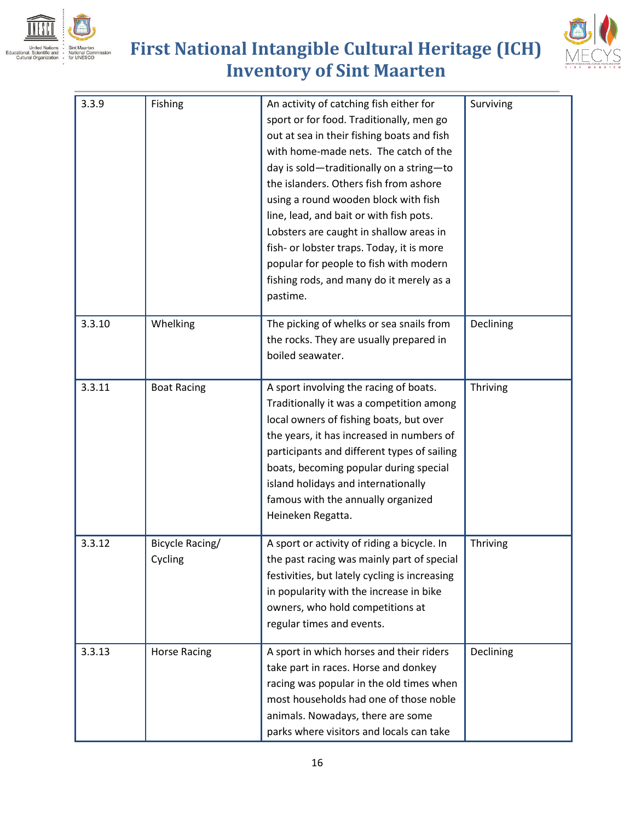





| 3.3.9  | Fishing                    | An activity of catching fish either for<br>sport or for food. Traditionally, men go<br>out at sea in their fishing boats and fish<br>with home-made nets. The catch of the<br>day is sold-traditionally on a string-to<br>the islanders. Others fish from ashore<br>using a round wooden block with fish<br>line, lead, and bait or with fish pots.<br>Lobsters are caught in shallow areas in<br>fish- or lobster traps. Today, it is more<br>popular for people to fish with modern<br>fishing rods, and many do it merely as a<br>pastime. | Surviving |
|--------|----------------------------|-----------------------------------------------------------------------------------------------------------------------------------------------------------------------------------------------------------------------------------------------------------------------------------------------------------------------------------------------------------------------------------------------------------------------------------------------------------------------------------------------------------------------------------------------|-----------|
| 3.3.10 | Whelking                   | The picking of whelks or sea snails from<br>the rocks. They are usually prepared in<br>boiled seawater.                                                                                                                                                                                                                                                                                                                                                                                                                                       | Declining |
| 3.3.11 | <b>Boat Racing</b>         | A sport involving the racing of boats.<br>Traditionally it was a competition among<br>local owners of fishing boats, but over<br>the years, it has increased in numbers of<br>participants and different types of sailing<br>boats, becoming popular during special<br>island holidays and internationally<br>famous with the annually organized<br>Heineken Regatta.                                                                                                                                                                         | Thriving  |
| 3.3.12 | Bicycle Racing/<br>Cycling | A sport or activity of riding a bicycle. In<br>the past racing was mainly part of special<br>festivities, but lately cycling is increasing<br>in popularity with the increase in bike<br>owners, who hold competitions at<br>regular times and events.                                                                                                                                                                                                                                                                                        | Thriving  |
| 3.3.13 | <b>Horse Racing</b>        | A sport in which horses and their riders<br>take part in races. Horse and donkey<br>racing was popular in the old times when<br>most households had one of those noble<br>animals. Nowadays, there are some<br>parks where visitors and locals can take                                                                                                                                                                                                                                                                                       | Declining |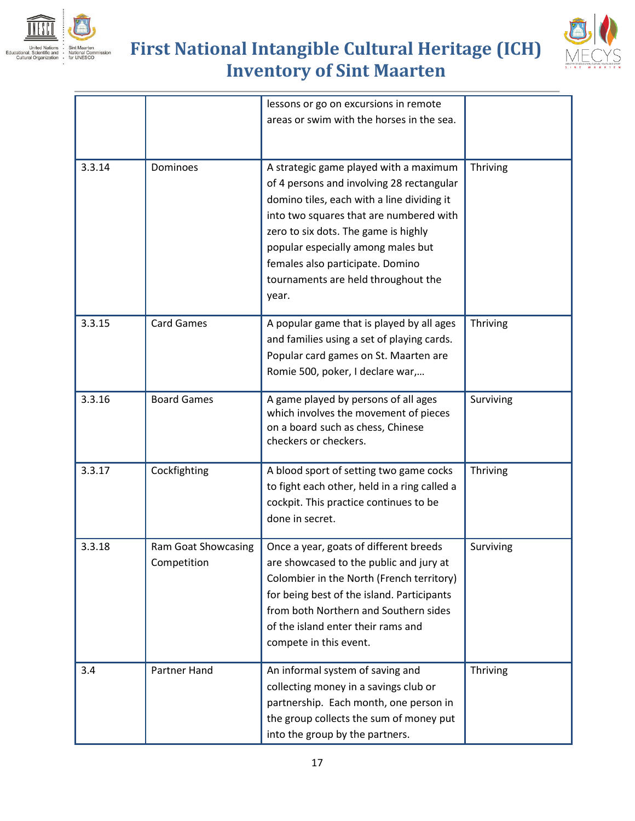





|        |                                           | lessons or go on excursions in remote<br>areas or swim with the horses in the sea.                                                                                                                                                                                                                                                             |           |
|--------|-------------------------------------------|------------------------------------------------------------------------------------------------------------------------------------------------------------------------------------------------------------------------------------------------------------------------------------------------------------------------------------------------|-----------|
| 3.3.14 | Dominoes                                  | A strategic game played with a maximum<br>of 4 persons and involving 28 rectangular<br>domino tiles, each with a line dividing it<br>into two squares that are numbered with<br>zero to six dots. The game is highly<br>popular especially among males but<br>females also participate. Domino<br>tournaments are held throughout the<br>year. | Thriving  |
| 3.3.15 | <b>Card Games</b>                         | A popular game that is played by all ages<br>and families using a set of playing cards.<br>Popular card games on St. Maarten are<br>Romie 500, poker, I declare war,                                                                                                                                                                           | Thriving  |
| 3.3.16 | <b>Board Games</b>                        | A game played by persons of all ages<br>which involves the movement of pieces<br>on a board such as chess, Chinese<br>checkers or checkers.                                                                                                                                                                                                    | Surviving |
| 3.3.17 | Cockfighting                              | A blood sport of setting two game cocks<br>to fight each other, held in a ring called a<br>cockpit. This practice continues to be<br>done in secret.                                                                                                                                                                                           | Thriving  |
| 3.3.18 | <b>Ram Goat Showcasing</b><br>Competition | Once a year, goats of different breeds<br>are showcased to the public and jury at<br>Colombier in the North (French territory)<br>for being best of the island. Participants<br>from both Northern and Southern sides<br>of the island enter their rams and<br>compete in this event.                                                          | Surviving |
| 3.4    | <b>Partner Hand</b>                       | An informal system of saving and<br>collecting money in a savings club or<br>partnership. Each month, one person in<br>the group collects the sum of money put<br>into the group by the partners.                                                                                                                                              | Thriving  |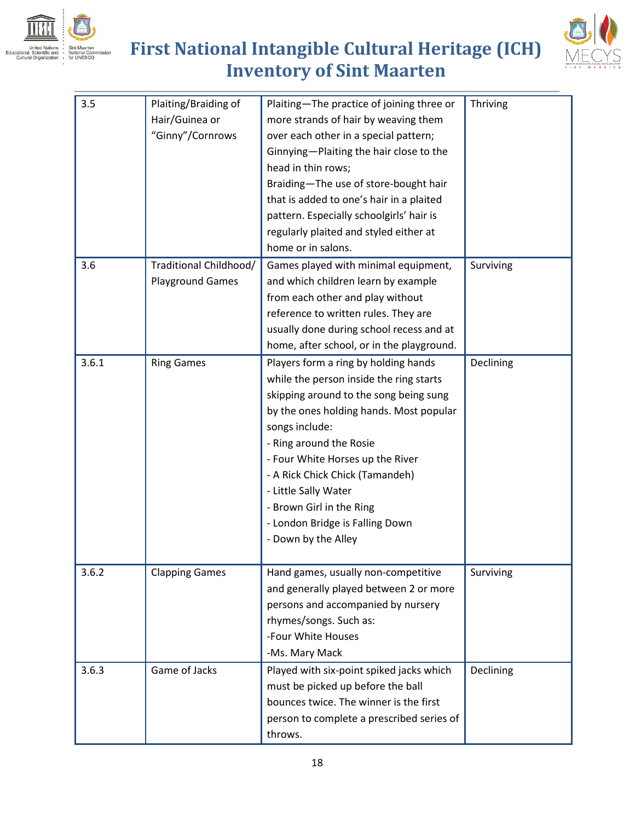



| 3.5   | Plaiting/Braiding of<br>Hair/Guinea or<br>"Ginny"/Cornrows | Plaiting-The practice of joining three or<br>more strands of hair by weaving them<br>over each other in a special pattern;<br>Ginnying-Plaiting the hair close to the<br>head in thin rows;<br>Braiding-The use of store-bought hair<br>that is added to one's hair in a plaited<br>pattern. Especially schoolgirls' hair is<br>regularly plaited and styled either at<br>home or in salons.           | Thriving  |
|-------|------------------------------------------------------------|--------------------------------------------------------------------------------------------------------------------------------------------------------------------------------------------------------------------------------------------------------------------------------------------------------------------------------------------------------------------------------------------------------|-----------|
| 3.6   | Traditional Childhood/<br><b>Playground Games</b>          | Games played with minimal equipment,<br>and which children learn by example<br>from each other and play without<br>reference to written rules. They are<br>usually done during school recess and at<br>home, after school, or in the playground.                                                                                                                                                       | Surviving |
| 3.6.1 | <b>Ring Games</b>                                          | Players form a ring by holding hands<br>while the person inside the ring starts<br>skipping around to the song being sung<br>by the ones holding hands. Most popular<br>songs include:<br>- Ring around the Rosie<br>- Four White Horses up the River<br>- A Rick Chick Chick (Tamandeh)<br>- Little Sally Water<br>- Brown Girl in the Ring<br>- London Bridge is Falling Down<br>- Down by the Alley | Declining |
| 3.6.2 | <b>Clapping Games</b>                                      | Hand games, usually non-competitive<br>and generally played between 2 or more<br>persons and accompanied by nursery<br>rhymes/songs. Such as:<br>-Four White Houses<br>-Ms. Mary Mack                                                                                                                                                                                                                  | Surviving |
| 3.6.3 | Game of Jacks                                              | Played with six-point spiked jacks which<br>must be picked up before the ball<br>bounces twice. The winner is the first<br>person to complete a prescribed series of<br>throws.                                                                                                                                                                                                                        | Declining |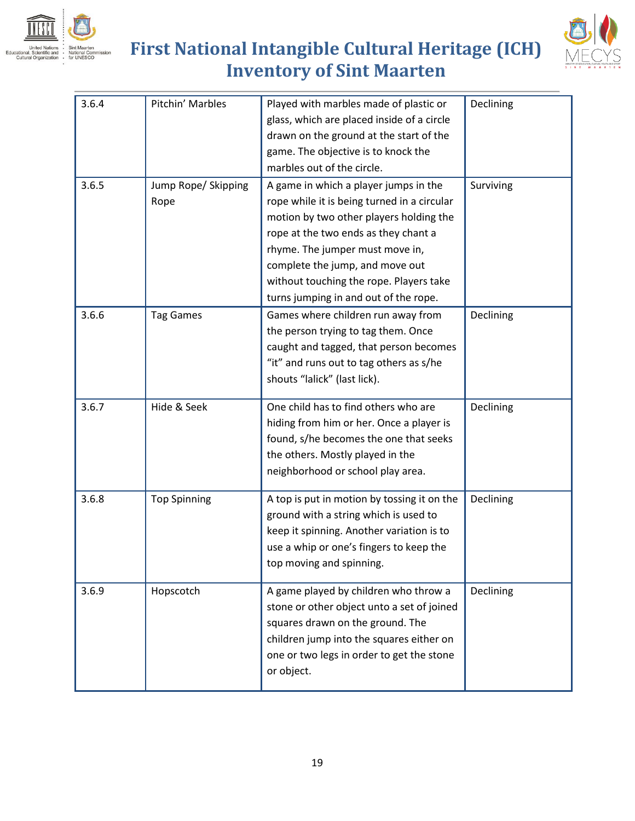



| 3.6.4 | Pitchin' Marbles    | Played with marbles made of plastic or      | Declining |
|-------|---------------------|---------------------------------------------|-----------|
|       |                     | glass, which are placed inside of a circle  |           |
|       |                     | drawn on the ground at the start of the     |           |
|       |                     | game. The objective is to knock the         |           |
|       |                     | marbles out of the circle.                  |           |
| 3.6.5 | Jump Rope/ Skipping | A game in which a player jumps in the       | Surviving |
|       | Rope                | rope while it is being turned in a circular |           |
|       |                     | motion by two other players holding the     |           |
|       |                     | rope at the two ends as they chant a        |           |
|       |                     | rhyme. The jumper must move in,             |           |
|       |                     | complete the jump, and move out             |           |
|       |                     | without touching the rope. Players take     |           |
|       |                     | turns jumping in and out of the rope.       |           |
| 3.6.6 | <b>Tag Games</b>    | Games where children run away from          | Declining |
|       |                     | the person trying to tag them. Once         |           |
|       |                     | caught and tagged, that person becomes      |           |
|       |                     | "it" and runs out to tag others as s/he     |           |
|       |                     | shouts "lalick" (last lick).                |           |
|       |                     |                                             |           |
| 3.6.7 | Hide & Seek         | One child has to find others who are        | Declining |
|       |                     | hiding from him or her. Once a player is    |           |
|       |                     | found, s/he becomes the one that seeks      |           |
|       |                     | the others. Mostly played in the            |           |
|       |                     | neighborhood or school play area.           |           |
|       |                     |                                             |           |
| 3.6.8 | <b>Top Spinning</b> | A top is put in motion by tossing it on the | Declining |
|       |                     | ground with a string which is used to       |           |
|       |                     | keep it spinning. Another variation is to   |           |
|       |                     | use a whip or one's fingers to keep the     |           |
|       |                     | top moving and spinning.                    |           |
| 3.6.9 | Hopscotch           | A game played by children who throw a       | Declining |
|       |                     | stone or other object unto a set of joined  |           |
|       |                     | squares drawn on the ground. The            |           |
|       |                     | children jump into the squares either on    |           |
|       |                     | one or two legs in order to get the stone   |           |
|       |                     | or object.                                  |           |
|       |                     |                                             |           |
|       |                     |                                             |           |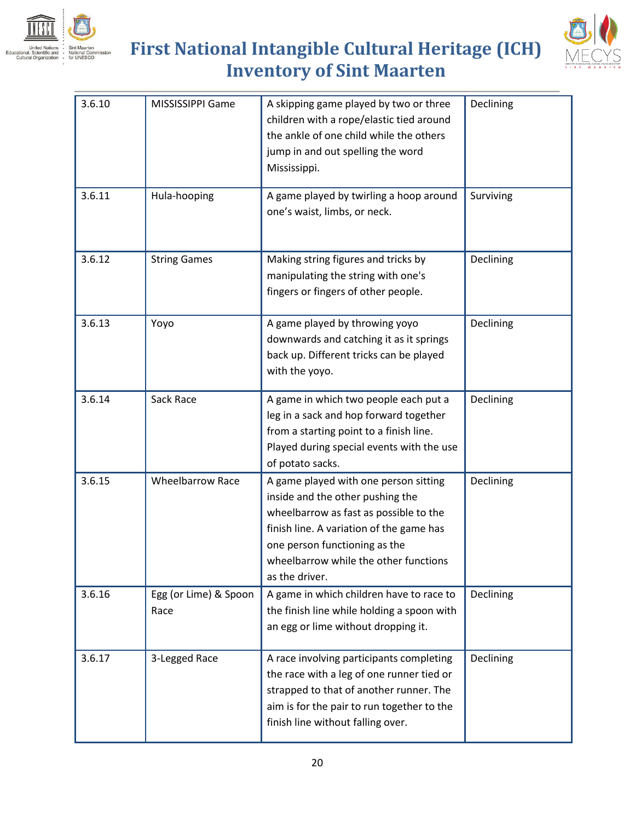



| 3.6.10 | MISSISSIPPI Game              | A skipping game played by two or three<br>children with a rope/elastic tied around<br>the ankle of one child while the others<br>jump in and out spelling the word<br>Mississippi.                                                                          | Declining |
|--------|-------------------------------|-------------------------------------------------------------------------------------------------------------------------------------------------------------------------------------------------------------------------------------------------------------|-----------|
| 3.6.11 | Hula-hooping                  | A game played by twirling a hoop around<br>one's waist, limbs, or neck.                                                                                                                                                                                     | Surviving |
| 3.6.12 | <b>String Games</b>           | Making string figures and tricks by<br>manipulating the string with one's<br>fingers or fingers of other people.                                                                                                                                            | Declining |
| 3.6.13 | Yoyo                          | A game played by throwing yoyo<br>downwards and catching it as it springs<br>back up. Different tricks can be played<br>with the yoyo.                                                                                                                      | Declining |
| 3.6.14 | Sack Race                     | A game in which two people each put a<br>leg in a sack and hop forward together<br>from a starting point to a finish line.<br>Played during special events with the use<br>of potato sacks.                                                                 | Declining |
| 3.6.15 | <b>Wheelbarrow Race</b>       | A game played with one person sitting<br>inside and the other pushing the<br>wheelbarrow as fast as possible to the<br>finish line. A variation of the game has<br>one person functioning as the<br>wheelbarrow while the other functions<br>as the driver. | Declining |
| 3.6.16 | Egg (or Lime) & Spoon<br>Race | A game in which children have to race to<br>the finish line while holding a spoon with<br>an egg or lime without dropping it.                                                                                                                               | Declining |
| 3.6.17 | 3-Legged Race                 | A race involving participants completing<br>the race with a leg of one runner tied or<br>strapped to that of another runner. The<br>aim is for the pair to run together to the<br>finish line without falling over.                                         | Declining |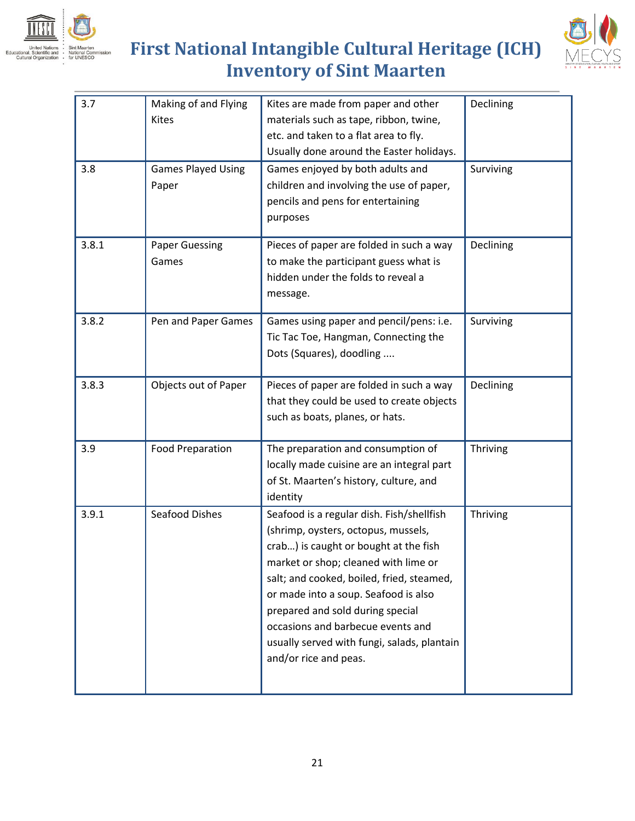



| 3.7   | Making of and Flying<br><b>Kites</b> | Kites are made from paper and other<br>materials such as tape, ribbon, twine,<br>etc. and taken to a flat area to fly.<br>Usually done around the Easter holidays.                                                                                                                                                                                                                                      | Declining |
|-------|--------------------------------------|---------------------------------------------------------------------------------------------------------------------------------------------------------------------------------------------------------------------------------------------------------------------------------------------------------------------------------------------------------------------------------------------------------|-----------|
| 3.8   | <b>Games Played Using</b><br>Paper   | Games enjoyed by both adults and<br>children and involving the use of paper,<br>pencils and pens for entertaining<br>purposes                                                                                                                                                                                                                                                                           | Surviving |
| 3.8.1 | <b>Paper Guessing</b><br>Games       | Pieces of paper are folded in such a way<br>to make the participant guess what is<br>hidden under the folds to reveal a<br>message.                                                                                                                                                                                                                                                                     | Declining |
| 3.8.2 | Pen and Paper Games                  | Games using paper and pencil/pens: i.e.<br>Tic Tac Toe, Hangman, Connecting the<br>Dots (Squares), doodling                                                                                                                                                                                                                                                                                             | Surviving |
| 3.8.3 | Objects out of Paper                 | Pieces of paper are folded in such a way<br>that they could be used to create objects<br>such as boats, planes, or hats.                                                                                                                                                                                                                                                                                | Declining |
| 3.9   | <b>Food Preparation</b>              | The preparation and consumption of<br>locally made cuisine are an integral part<br>of St. Maarten's history, culture, and<br>identity                                                                                                                                                                                                                                                                   | Thriving  |
| 3.9.1 | <b>Seafood Dishes</b>                | Seafood is a regular dish. Fish/shellfish<br>(shrimp, oysters, octopus, mussels,<br>crab) is caught or bought at the fish<br>market or shop; cleaned with lime or<br>salt; and cooked, boiled, fried, steamed,<br>or made into a soup. Seafood is also<br>prepared and sold during special<br>occasions and barbecue events and<br>usually served with fungi, salads, plantain<br>and/or rice and peas. | Thriving  |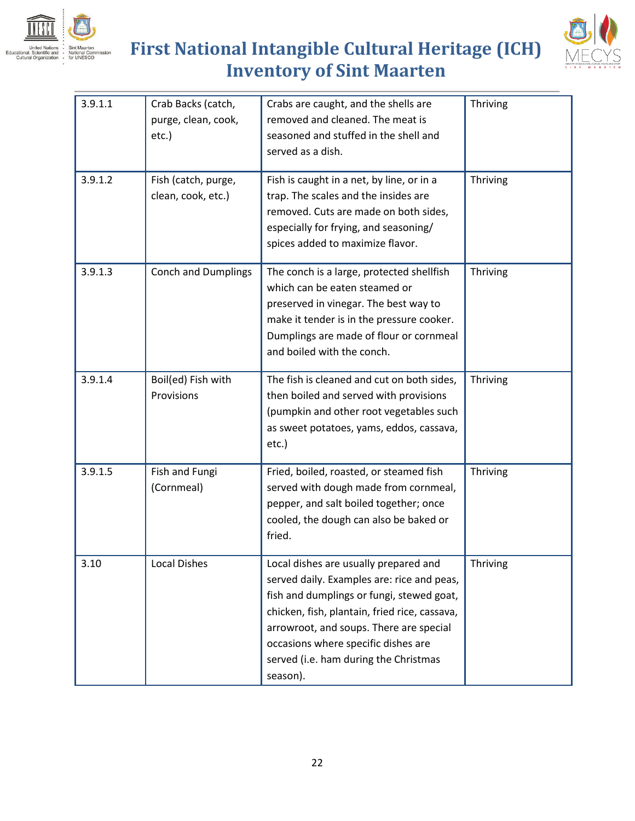



| 3.9.1.1 | Crab Backs (catch,<br>purge, clean, cook,<br>etc.) | Crabs are caught, and the shells are<br>removed and cleaned. The meat is<br>seasoned and stuffed in the shell and<br>served as a dish.                                                                                                                                                                                   | Thriving |
|---------|----------------------------------------------------|--------------------------------------------------------------------------------------------------------------------------------------------------------------------------------------------------------------------------------------------------------------------------------------------------------------------------|----------|
| 3.9.1.2 | Fish (catch, purge,<br>clean, cook, etc.)          | Fish is caught in a net, by line, or in a<br>trap. The scales and the insides are<br>removed. Cuts are made on both sides,<br>especially for frying, and seasoning/<br>spices added to maximize flavor.                                                                                                                  | Thriving |
| 3.9.1.3 | <b>Conch and Dumplings</b>                         | The conch is a large, protected shellfish<br>which can be eaten steamed or<br>preserved in vinegar. The best way to<br>make it tender is in the pressure cooker.<br>Dumplings are made of flour or cornmeal<br>and boiled with the conch.                                                                                | Thriving |
| 3.9.1.4 | Boil(ed) Fish with<br>Provisions                   | The fish is cleaned and cut on both sides,<br>then boiled and served with provisions<br>(pumpkin and other root vegetables such<br>as sweet potatoes, yams, eddos, cassava,<br>$etc.$ )                                                                                                                                  | Thriving |
| 3.9.1.5 | Fish and Fungi<br>(Cornmeal)                       | Fried, boiled, roasted, or steamed fish<br>served with dough made from cornmeal,<br>pepper, and salt boiled together; once<br>cooled, the dough can also be baked or<br>fried.                                                                                                                                           | Thriving |
| 3.10    | <b>Local Dishes</b>                                | Local dishes are usually prepared and<br>served daily. Examples are: rice and peas,<br>fish and dumplings or fungi, stewed goat,<br>chicken, fish, plantain, fried rice, cassava,<br>arrowroot, and soups. There are special<br>occasions where specific dishes are<br>served (i.e. ham during the Christmas<br>season). | Thriving |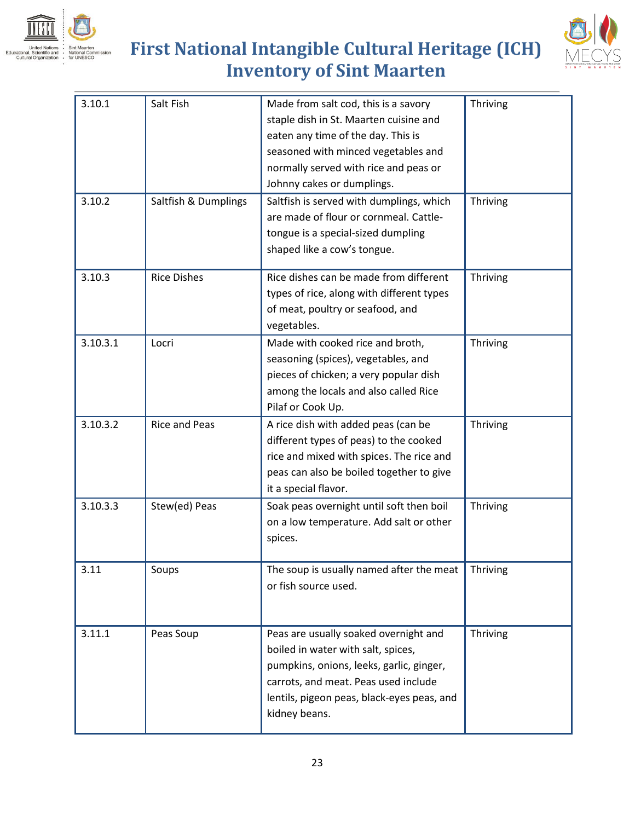



| 3.10.1<br>3.10.2 | Salt Fish<br>Saltfish & Dumplings | Made from salt cod, this is a savory<br>staple dish in St. Maarten cuisine and<br>eaten any time of the day. This is<br>seasoned with minced vegetables and<br>normally served with rice and peas or<br>Johnny cakes or dumplings.<br>Saltfish is served with dumplings, which<br>are made of flour or cornmeal. Cattle-<br>tongue is a special-sized dumpling<br>shaped like a cow's tongue. | Thriving<br>Thriving |
|------------------|-----------------------------------|-----------------------------------------------------------------------------------------------------------------------------------------------------------------------------------------------------------------------------------------------------------------------------------------------------------------------------------------------------------------------------------------------|----------------------|
| 3.10.3           | <b>Rice Dishes</b>                | Rice dishes can be made from different<br>types of rice, along with different types<br>of meat, poultry or seafood, and<br>vegetables.                                                                                                                                                                                                                                                        | Thriving             |
| 3.10.3.1         | Locri                             | Made with cooked rice and broth,<br>seasoning (spices), vegetables, and<br>pieces of chicken; a very popular dish<br>among the locals and also called Rice<br>Pilaf or Cook Up.                                                                                                                                                                                                               | Thriving             |
| 3.10.3.2         | <b>Rice and Peas</b>              | A rice dish with added peas (can be<br>different types of peas) to the cooked<br>rice and mixed with spices. The rice and<br>peas can also be boiled together to give<br>it a special flavor.                                                                                                                                                                                                 | Thriving             |
| 3.10.3.3         | Stew(ed) Peas                     | Soak peas overnight until soft then boil<br>on a low temperature. Add salt or other<br>spices.                                                                                                                                                                                                                                                                                                | Thriving             |
| 3.11             | Soups                             | The soup is usually named after the meat<br>or fish source used.                                                                                                                                                                                                                                                                                                                              | Thriving             |
| 3.11.1           | Peas Soup                         | Peas are usually soaked overnight and<br>boiled in water with salt, spices,<br>pumpkins, onions, leeks, garlic, ginger,<br>carrots, and meat. Peas used include<br>lentils, pigeon peas, black-eyes peas, and<br>kidney beans.                                                                                                                                                                | Thriving             |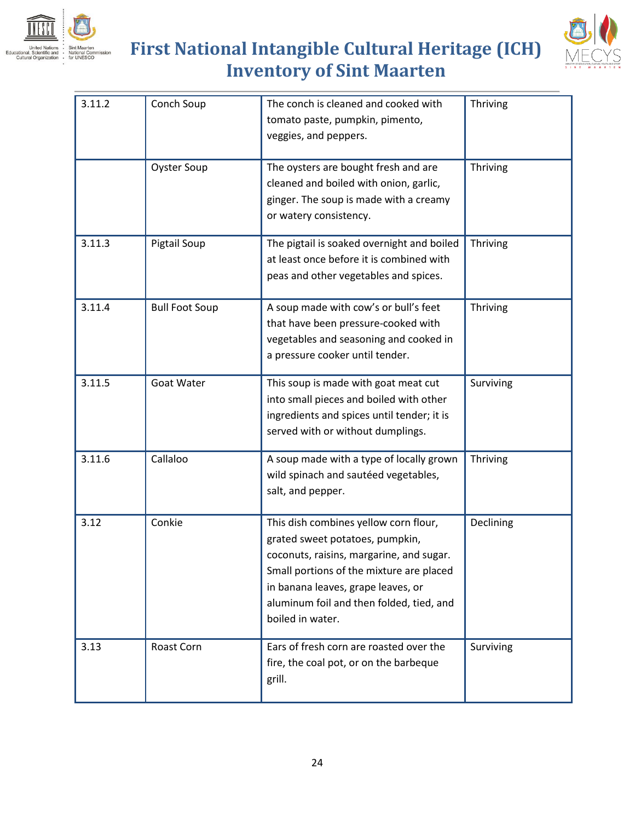



| 3.11.2 | Conch Soup            | The conch is cleaned and cooked with<br>tomato paste, pumpkin, pimento,<br>veggies, and peppers.                                                                                                                                                                       | Thriving  |
|--------|-----------------------|------------------------------------------------------------------------------------------------------------------------------------------------------------------------------------------------------------------------------------------------------------------------|-----------|
|        | <b>Oyster Soup</b>    | The oysters are bought fresh and are<br>cleaned and boiled with onion, garlic,<br>ginger. The soup is made with a creamy<br>or watery consistency.                                                                                                                     | Thriving  |
| 3.11.3 | Pigtail Soup          | The pigtail is soaked overnight and boiled<br>at least once before it is combined with<br>peas and other vegetables and spices.                                                                                                                                        | Thriving  |
| 3.11.4 | <b>Bull Foot Soup</b> | A soup made with cow's or bull's feet<br>that have been pressure-cooked with<br>vegetables and seasoning and cooked in<br>a pressure cooker until tender.                                                                                                              | Thriving  |
| 3.11.5 | <b>Goat Water</b>     | This soup is made with goat meat cut<br>into small pieces and boiled with other<br>ingredients and spices until tender; it is<br>served with or without dumplings.                                                                                                     | Surviving |
| 3.11.6 | Callaloo              | A soup made with a type of locally grown<br>wild spinach and sautéed vegetables,<br>salt, and pepper.                                                                                                                                                                  | Thriving  |
| 3.12   | Conkie                | This dish combines yellow corn flour,<br>grated sweet potatoes, pumpkin,<br>coconuts, raisins, margarine, and sugar.<br>Small portions of the mixture are placed<br>in banana leaves, grape leaves, or<br>aluminum foil and then folded, tied, and<br>boiled in water. | Declining |
| 3.13   | Roast Corn            | Ears of fresh corn are roasted over the<br>fire, the coal pot, or on the barbeque<br>grill.                                                                                                                                                                            | Surviving |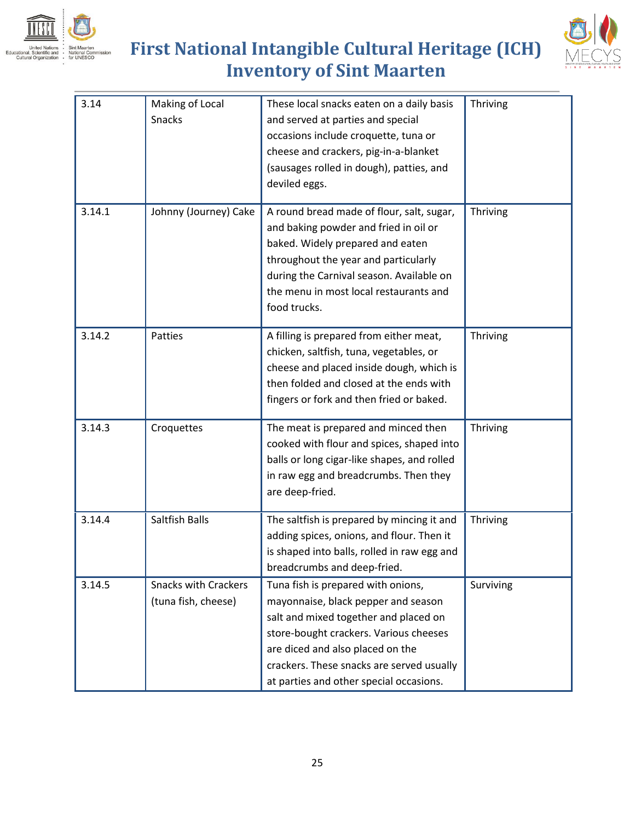



| 3.14   | Making of Local<br><b>Snacks</b>                   | These local snacks eaten on a daily basis<br>and served at parties and special<br>occasions include croquette, tuna or<br>cheese and crackers, pig-in-a-blanket<br>(sausages rolled in dough), patties, and<br>deviled eggs.                                                             | Thriving  |
|--------|----------------------------------------------------|------------------------------------------------------------------------------------------------------------------------------------------------------------------------------------------------------------------------------------------------------------------------------------------|-----------|
| 3.14.1 | Johnny (Journey) Cake                              | A round bread made of flour, salt, sugar,<br>and baking powder and fried in oil or<br>baked. Widely prepared and eaten<br>throughout the year and particularly<br>during the Carnival season. Available on<br>the menu in most local restaurants and<br>food trucks.                     | Thriving  |
| 3.14.2 | Patties                                            | A filling is prepared from either meat,<br>chicken, saltfish, tuna, vegetables, or<br>cheese and placed inside dough, which is<br>then folded and closed at the ends with<br>fingers or fork and then fried or baked.                                                                    | Thriving  |
| 3.14.3 | Croquettes                                         | The meat is prepared and minced then<br>cooked with flour and spices, shaped into<br>balls or long cigar-like shapes, and rolled<br>in raw egg and breadcrumbs. Then they<br>are deep-fried.                                                                                             | Thriving  |
| 3.14.4 | <b>Saltfish Balls</b>                              | The saltfish is prepared by mincing it and<br>adding spices, onions, and flour. Then it<br>is shaped into balls, rolled in raw egg and<br>breadcrumbs and deep-fried.                                                                                                                    | Thriving  |
| 3.14.5 | <b>Snacks with Crackers</b><br>(tuna fish, cheese) | Tuna fish is prepared with onions,<br>mayonnaise, black pepper and season<br>salt and mixed together and placed on<br>store-bought crackers. Various cheeses<br>are diced and also placed on the<br>crackers. These snacks are served usually<br>at parties and other special occasions. | Surviving |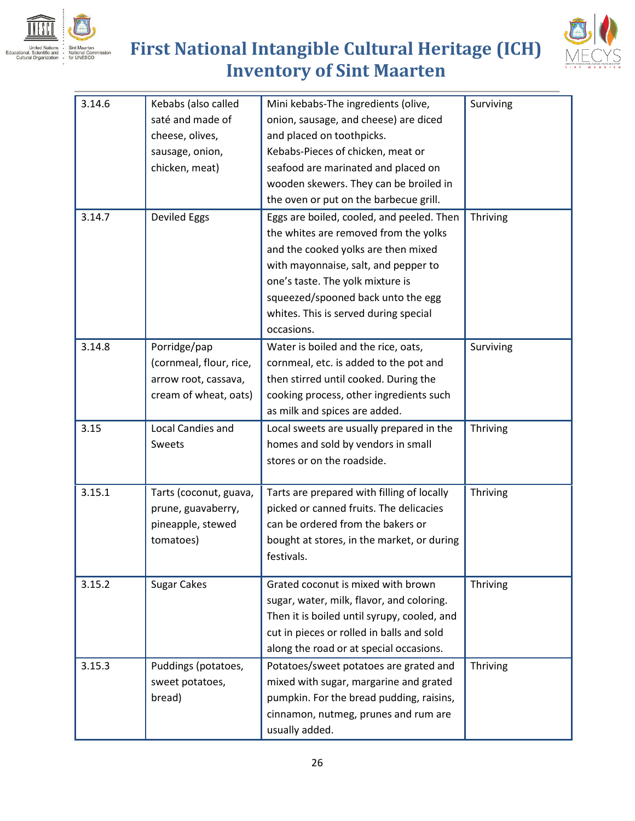



| 3.14.6 | Kebabs (also called<br>saté and made of<br>cheese, olives,<br>sausage, onion,<br>chicken, meat) | Mini kebabs-The ingredients (olive,<br>onion, sausage, and cheese) are diced<br>and placed on toothpicks.<br>Kebabs-Pieces of chicken, meat or<br>seafood are marinated and placed on<br>wooden skewers. They can be broiled in<br>the oven or put on the barbecue grill.                          | Surviving |
|--------|-------------------------------------------------------------------------------------------------|----------------------------------------------------------------------------------------------------------------------------------------------------------------------------------------------------------------------------------------------------------------------------------------------------|-----------|
| 3.14.7 | <b>Deviled Eggs</b>                                                                             | Eggs are boiled, cooled, and peeled. Then<br>the whites are removed from the yolks<br>and the cooked yolks are then mixed<br>with mayonnaise, salt, and pepper to<br>one's taste. The yolk mixture is<br>squeezed/spooned back unto the egg<br>whites. This is served during special<br>occasions. | Thriving  |
| 3.14.8 | Porridge/pap<br>(cornmeal, flour, rice,<br>arrow root, cassava,<br>cream of wheat, oats)        | Water is boiled and the rice, oats,<br>cornmeal, etc. is added to the pot and<br>then stirred until cooked. During the<br>cooking process, other ingredients such<br>as milk and spices are added.                                                                                                 | Surviving |
| 3.15   | Local Candies and<br>Sweets                                                                     | Local sweets are usually prepared in the<br>homes and sold by vendors in small<br>stores or on the roadside.                                                                                                                                                                                       | Thriving  |
| 3.15.1 | Tarts (coconut, guava,<br>prune, guavaberry,<br>pineapple, stewed<br>tomatoes)                  | Tarts are prepared with filling of locally<br>picked or canned fruits. The delicacies<br>can be ordered from the bakers or<br>bought at stores, in the market, or during<br>festivals.                                                                                                             | Thriving  |
| 3.15.2 | <b>Sugar Cakes</b>                                                                              | Grated coconut is mixed with brown<br>sugar, water, milk, flavor, and coloring.<br>Then it is boiled until syrupy, cooled, and<br>cut in pieces or rolled in balls and sold<br>along the road or at special occasions.                                                                             | Thriving  |
| 3.15.3 | Puddings (potatoes,<br>sweet potatoes,<br>bread)                                                | Potatoes/sweet potatoes are grated and<br>mixed with sugar, margarine and grated<br>pumpkin. For the bread pudding, raisins,<br>cinnamon, nutmeg, prunes and rum are<br>usually added.                                                                                                             | Thriving  |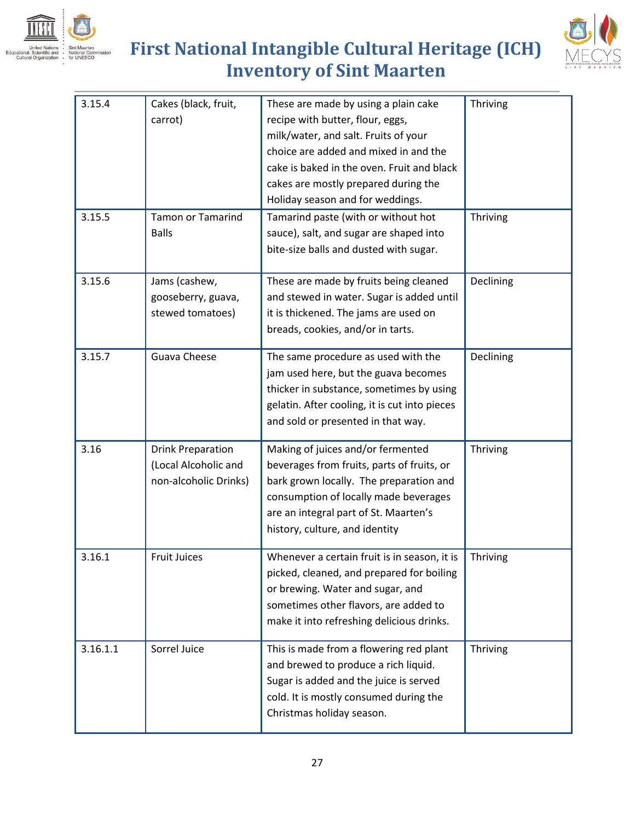





| 3.15.4   | Cakes (black, fruit,<br>carrot)                                           | These are made by using a plain cake<br>recipe with butter, flour, eggs,<br>milk/water, and salt. Fruits of your<br>choice are added and mixed in and the<br>cake is baked in the oven. Fruit and black<br>cakes are mostly prepared during the<br>Holiday season and for weddings. | Thriving  |
|----------|---------------------------------------------------------------------------|-------------------------------------------------------------------------------------------------------------------------------------------------------------------------------------------------------------------------------------------------------------------------------------|-----------|
| 3.15.5   | <b>Tamon or Tamarind</b><br><b>Balls</b>                                  | Tamarind paste (with or without hot<br>sauce), salt, and sugar are shaped into<br>bite-size balls and dusted with sugar.                                                                                                                                                            | Thriving  |
| 3.15.6   | Jams (cashew,<br>gooseberry, guava,<br>stewed tomatoes)                   | These are made by fruits being cleaned<br>and stewed in water. Sugar is added until<br>it is thickened. The jams are used on<br>breads, cookies, and/or in tarts.                                                                                                                   | Declining |
| 3.15.7   | Guava Cheese                                                              | The same procedure as used with the<br>jam used here, but the guava becomes<br>thicker in substance, sometimes by using<br>gelatin. After cooling, it is cut into pieces<br>and sold or presented in that way.                                                                      | Declining |
| 3.16     | <b>Drink Preparation</b><br>(Local Alcoholic and<br>non-alcoholic Drinks) | Making of juices and/or fermented<br>beverages from fruits, parts of fruits, or<br>bark grown locally. The preparation and<br>consumption of locally made beverages<br>are an integral part of St. Maarten's<br>history, culture, and identity                                      | Thriving  |
| 3.16.1   | <b>Fruit Juices</b>                                                       | Whenever a certain fruit is in season, it is<br>picked, cleaned, and prepared for boiling<br>or brewing. Water and sugar, and<br>sometimes other flavors, are added to<br>make it into refreshing delicious drinks.                                                                 | Thriving  |
| 3.16.1.1 | Sorrel Juice                                                              | This is made from a flowering red plant<br>and brewed to produce a rich liquid.<br>Sugar is added and the juice is served<br>cold. It is mostly consumed during the<br>Christmas holiday season.                                                                                    | Thriving  |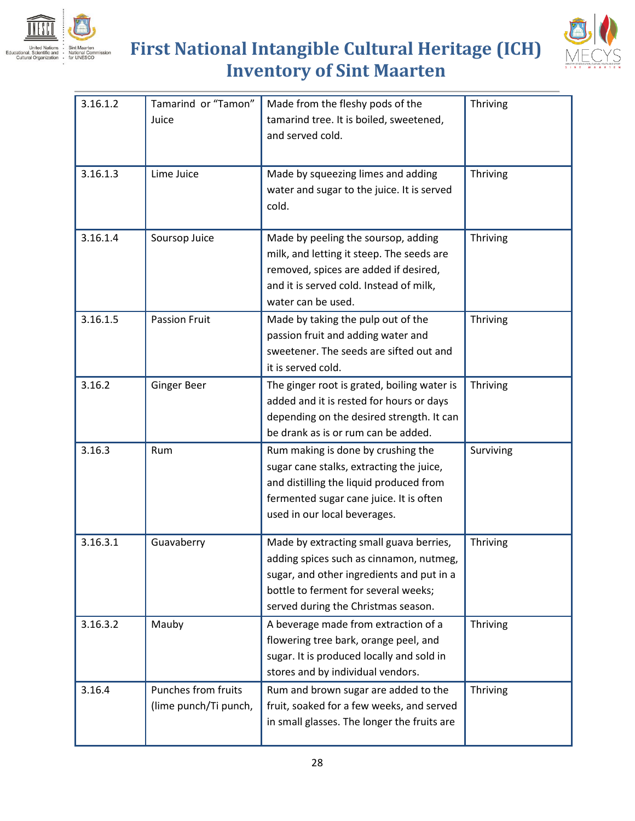



| 3.16.1.2 | Tamarind or "Tamon"   | Made from the fleshy pods of the            | Thriving  |
|----------|-----------------------|---------------------------------------------|-----------|
|          |                       |                                             |           |
|          | Juice                 | tamarind tree. It is boiled, sweetened,     |           |
|          |                       | and served cold.                            |           |
|          |                       |                                             |           |
| 3.16.1.3 | Lime Juice            | Made by squeezing limes and adding          | Thriving  |
|          |                       | water and sugar to the juice. It is served  |           |
|          |                       | cold.                                       |           |
| 3.16.1.4 |                       |                                             |           |
|          | Soursop Juice         | Made by peeling the soursop, adding         | Thriving  |
|          |                       | milk, and letting it steep. The seeds are   |           |
|          |                       | removed, spices are added if desired,       |           |
|          |                       | and it is served cold. Instead of milk,     |           |
|          |                       | water can be used.                          |           |
| 3.16.1.5 | <b>Passion Fruit</b>  | Made by taking the pulp out of the          | Thriving  |
|          |                       | passion fruit and adding water and          |           |
|          |                       | sweetener. The seeds are sifted out and     |           |
|          |                       | it is served cold.                          |           |
| 3.16.2   | <b>Ginger Beer</b>    | The ginger root is grated, boiling water is | Thriving  |
|          |                       | added and it is rested for hours or days    |           |
|          |                       | depending on the desired strength. It can   |           |
|          |                       | be drank as is or rum can be added.         |           |
| 3.16.3   | Rum                   | Rum making is done by crushing the          | Surviving |
|          |                       | sugar cane stalks, extracting the juice,    |           |
|          |                       | and distilling the liquid produced from     |           |
|          |                       | fermented sugar cane juice. It is often     |           |
|          |                       | used in our local beverages.                |           |
|          |                       |                                             |           |
| 3.16.3.1 | Guavaberry            | Made by extracting small guava berries,     | Thriving  |
|          |                       | adding spices such as cinnamon, nutmeg,     |           |
|          |                       | sugar, and other ingredients and put in a   |           |
|          |                       | bottle to ferment for several weeks;        |           |
|          |                       | served during the Christmas season.         |           |
| 3.16.3.2 | Mauby                 | A beverage made from extraction of a        | Thriving  |
|          |                       | flowering tree bark, orange peel, and       |           |
|          |                       | sugar. It is produced locally and sold in   |           |
|          |                       | stores and by individual vendors.           |           |
| 3.16.4   | Punches from fruits   | Rum and brown sugar are added to the        | Thriving  |
|          | (lime punch/Ti punch, | fruit, soaked for a few weeks, and served   |           |
|          |                       | in small glasses. The longer the fruits are |           |
|          |                       |                                             |           |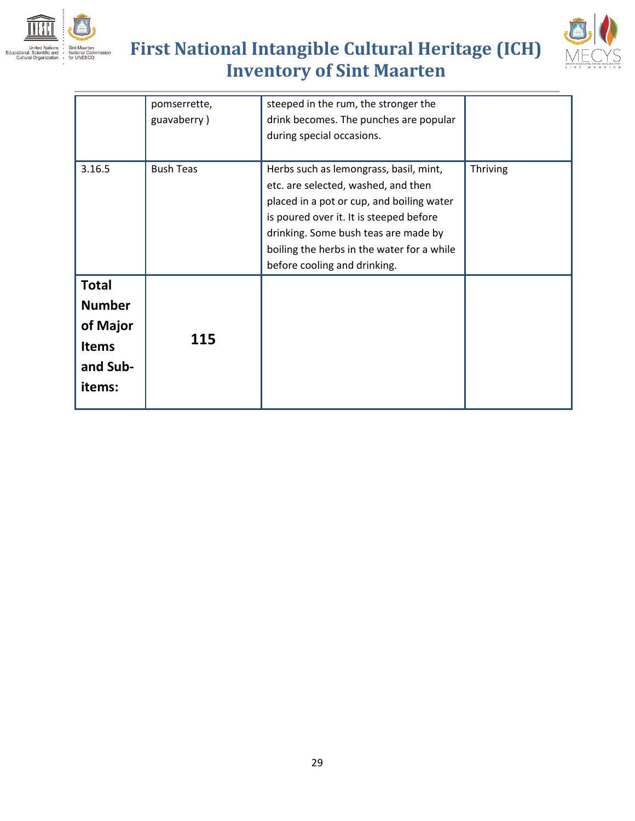



|               | pomserrette,     | steeped in the rum, the stronger the       |                 |
|---------------|------------------|--------------------------------------------|-----------------|
|               | guavaberry)      | drink becomes. The punches are popular     |                 |
|               |                  | during special occasions.                  |                 |
|               |                  |                                            |                 |
| 3.16.5        | <b>Bush Teas</b> | Herbs such as lemongrass, basil, mint,     | <b>Thriving</b> |
|               |                  | etc. are selected, washed, and then        |                 |
|               |                  | placed in a pot or cup, and boiling water  |                 |
|               |                  | is poured over it. It is steeped before    |                 |
|               |                  | drinking. Some bush teas are made by       |                 |
|               |                  | boiling the herbs in the water for a while |                 |
|               |                  | before cooling and drinking.               |                 |
| <b>Total</b>  |                  |                                            |                 |
| <b>Number</b> |                  |                                            |                 |
| of Major      |                  |                                            |                 |
|               | 115              |                                            |                 |
| <b>Items</b>  |                  |                                            |                 |
| and Sub-      |                  |                                            |                 |
| items:        |                  |                                            |                 |
|               |                  |                                            |                 |
|               |                  |                                            |                 |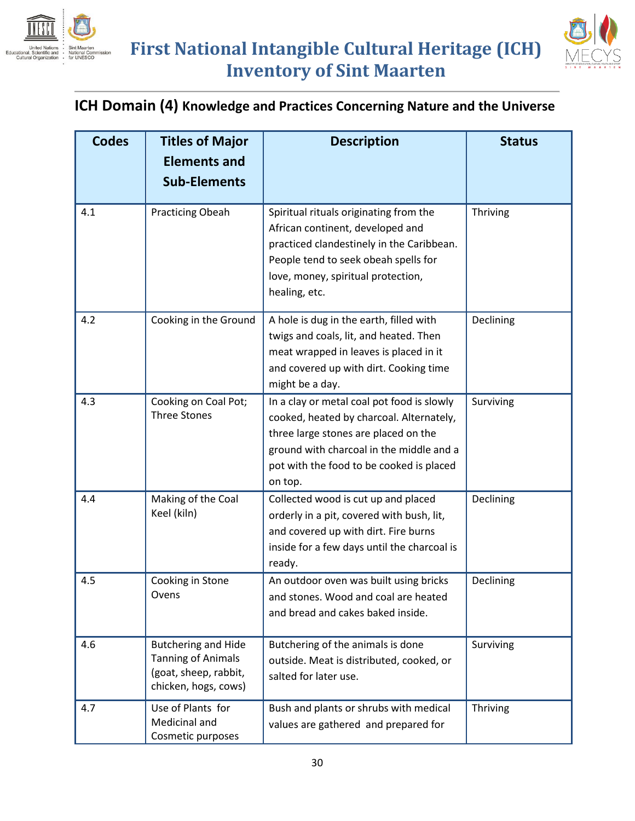



#### **ICH Domain (4) Knowledge and Practices Concerning Nature and the Universe**

| <b>Codes</b> | <b>Titles of Major</b><br><b>Elements and</b><br><b>Sub-Elements</b>                                     | <b>Description</b>                                                                                                                                                                                                                | <b>Status</b> |
|--------------|----------------------------------------------------------------------------------------------------------|-----------------------------------------------------------------------------------------------------------------------------------------------------------------------------------------------------------------------------------|---------------|
| 4.1          | <b>Practicing Obeah</b>                                                                                  | Spiritual rituals originating from the<br>African continent, developed and<br>practiced clandestinely in the Caribbean.<br>People tend to seek obeah spells for<br>love, money, spiritual protection,<br>healing, etc.            | Thriving      |
| 4.2          | Cooking in the Ground                                                                                    | A hole is dug in the earth, filled with<br>twigs and coals, lit, and heated. Then<br>meat wrapped in leaves is placed in it<br>and covered up with dirt. Cooking time<br>might be a day.                                          | Declining     |
| 4.3          | Cooking on Coal Pot;<br><b>Three Stones</b>                                                              | In a clay or metal coal pot food is slowly<br>cooked, heated by charcoal. Alternately,<br>three large stones are placed on the<br>ground with charcoal in the middle and a<br>pot with the food to be cooked is placed<br>on top. | Surviving     |
| 4.4          | Making of the Coal<br>Keel (kiln)                                                                        | Collected wood is cut up and placed<br>orderly in a pit, covered with bush, lit,<br>and covered up with dirt. Fire burns<br>inside for a few days until the charcoal is<br>ready.                                                 | Declining     |
| 4.5          | Cooking in Stone<br>Ovens                                                                                | An outdoor oven was built using bricks<br>and stones. Wood and coal are heated<br>and bread and cakes baked inside.                                                                                                               | Declining     |
| 4.6          | <b>Butchering and Hide</b><br><b>Tanning of Animals</b><br>(goat, sheep, rabbit,<br>chicken, hogs, cows) | Butchering of the animals is done<br>outside. Meat is distributed, cooked, or<br>salted for later use.                                                                                                                            | Surviving     |
| 4.7          | Use of Plants for<br>Medicinal and<br>Cosmetic purposes                                                  | Bush and plants or shrubs with medical<br>values are gathered and prepared for                                                                                                                                                    | Thriving      |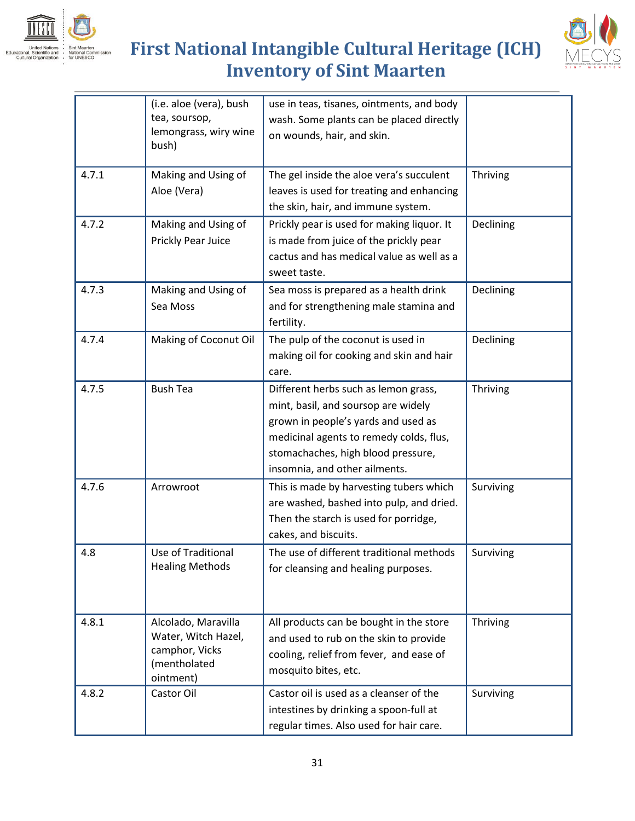



|       | (i.e. aloe (vera), bush<br>tea, soursop,<br>lemongrass, wiry wine<br>bush)                | use in teas, tisanes, ointments, and body<br>wash. Some plants can be placed directly<br>on wounds, hair, and skin.                                                                                                                  |           |
|-------|-------------------------------------------------------------------------------------------|--------------------------------------------------------------------------------------------------------------------------------------------------------------------------------------------------------------------------------------|-----------|
| 4.7.1 | Making and Using of<br>Aloe (Vera)                                                        | The gel inside the aloe vera's succulent<br>leaves is used for treating and enhancing<br>the skin, hair, and immune system.                                                                                                          | Thriving  |
| 4.7.2 | Making and Using of<br>Prickly Pear Juice                                                 | Prickly pear is used for making liquor. It<br>is made from juice of the prickly pear<br>cactus and has medical value as well as a<br>sweet taste.                                                                                    | Declining |
| 4.7.3 | Making and Using of<br>Sea Moss                                                           | Sea moss is prepared as a health drink<br>and for strengthening male stamina and<br>fertility.                                                                                                                                       | Declining |
| 4.7.4 | Making of Coconut Oil                                                                     | The pulp of the coconut is used in<br>making oil for cooking and skin and hair<br>care.                                                                                                                                              | Declining |
| 4.7.5 | <b>Bush Tea</b>                                                                           | Different herbs such as lemon grass,<br>mint, basil, and soursop are widely<br>grown in people's yards and used as<br>medicinal agents to remedy colds, flus,<br>stomachaches, high blood pressure,<br>insomnia, and other ailments. | Thriving  |
| 4.7.6 | Arrowroot                                                                                 | This is made by harvesting tubers which<br>are washed, bashed into pulp, and dried.<br>Then the starch is used for porridge,<br>cakes, and biscuits.                                                                                 | Surviving |
| 4.8   | Use of Traditional<br><b>Healing Methods</b>                                              | The use of different traditional methods<br>for cleansing and healing purposes.                                                                                                                                                      | Surviving |
| 4.8.1 | Alcolado, Maravilla<br>Water, Witch Hazel,<br>camphor, Vicks<br>(mentholated<br>ointment) | All products can be bought in the store<br>and used to rub on the skin to provide<br>cooling, relief from fever, and ease of<br>mosquito bites, etc.                                                                                 | Thriving  |
| 4.8.2 | Castor Oil                                                                                | Castor oil is used as a cleanser of the<br>intestines by drinking a spoon-full at<br>regular times. Also used for hair care.                                                                                                         | Surviving |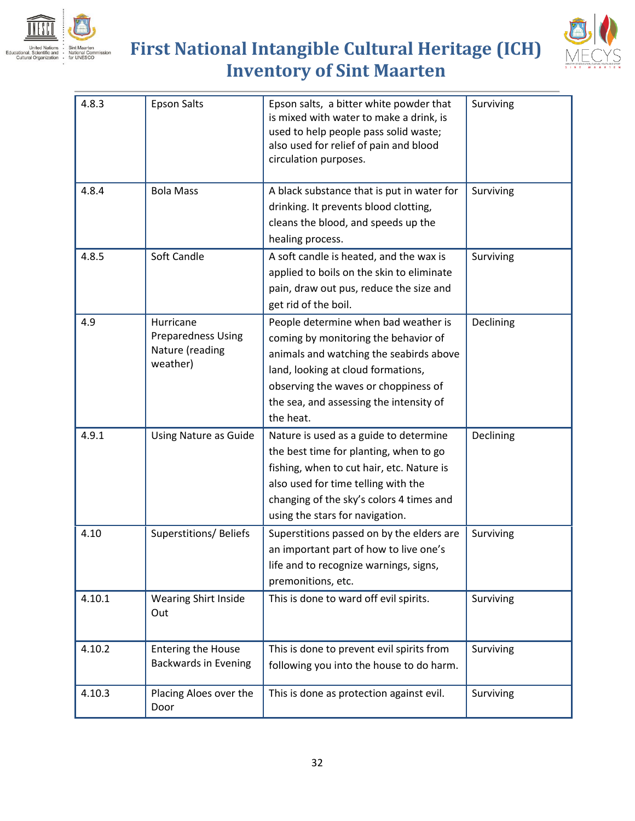



| 4.8.3  | <b>Epson Salts</b>                                                    | Epson salts, a bitter white powder that<br>is mixed with water to make a drink, is<br>used to help people pass solid waste;<br>also used for relief of pain and blood<br>circulation purposes.                                                                | Surviving |
|--------|-----------------------------------------------------------------------|---------------------------------------------------------------------------------------------------------------------------------------------------------------------------------------------------------------------------------------------------------------|-----------|
| 4.8.4  | <b>Bola Mass</b>                                                      | A black substance that is put in water for<br>drinking. It prevents blood clotting,<br>cleans the blood, and speeds up the<br>healing process.                                                                                                                | Surviving |
| 4.8.5  | Soft Candle                                                           | A soft candle is heated, and the wax is<br>applied to boils on the skin to eliminate<br>pain, draw out pus, reduce the size and<br>get rid of the boil.                                                                                                       | Surviving |
| 4.9    | Hurricane<br><b>Preparedness Using</b><br>Nature (reading<br>weather) | People determine when bad weather is<br>coming by monitoring the behavior of<br>animals and watching the seabirds above<br>land, looking at cloud formations,<br>observing the waves or choppiness of<br>the sea, and assessing the intensity of<br>the heat. | Declining |
| 4.9.1  | <b>Using Nature as Guide</b>                                          | Nature is used as a guide to determine<br>the best time for planting, when to go<br>fishing, when to cut hair, etc. Nature is<br>also used for time telling with the<br>changing of the sky's colors 4 times and<br>using the stars for navigation.           | Declining |
| 4.10   | Superstitions/Beliefs                                                 | Superstitions passed on by the elders are<br>an important part of how to live one's<br>life and to recognize warnings, signs,<br>premonitions, etc.                                                                                                           | Surviving |
| 4.10.1 | <b>Wearing Shirt Inside</b><br>Out                                    | This is done to ward off evil spirits.                                                                                                                                                                                                                        | Surviving |
| 4.10.2 | <b>Entering the House</b><br><b>Backwards in Evening</b>              | This is done to prevent evil spirits from<br>following you into the house to do harm.                                                                                                                                                                         | Surviving |
| 4.10.3 | Placing Aloes over the<br>Door                                        | This is done as protection against evil.                                                                                                                                                                                                                      | Surviving |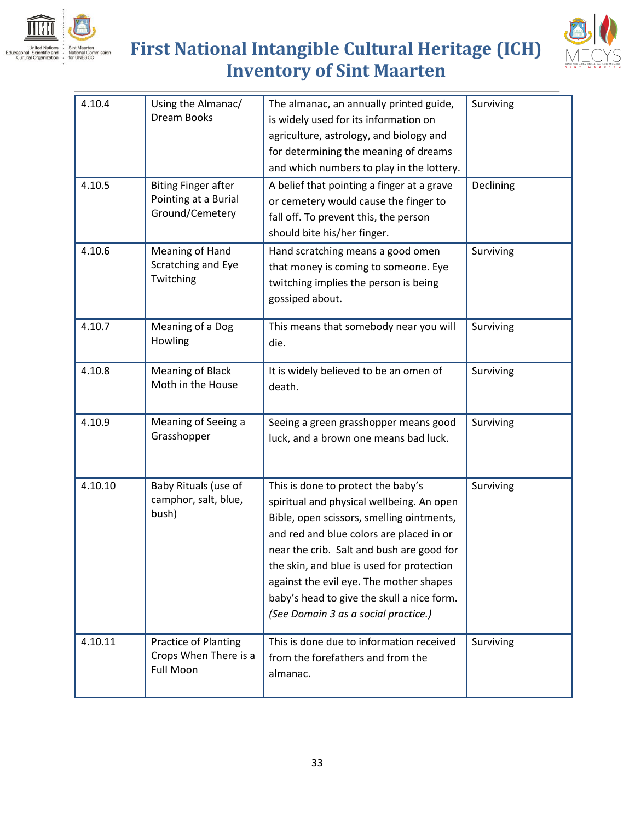



| 4.10.4  | Using the Almanac/<br>Dream Books                                     | The almanac, an annually printed guide,<br>is widely used for its information on<br>agriculture, astrology, and biology and<br>for determining the meaning of dreams<br>and which numbers to play in the lottery.                                                                                                                                                                                   | Surviving |
|---------|-----------------------------------------------------------------------|-----------------------------------------------------------------------------------------------------------------------------------------------------------------------------------------------------------------------------------------------------------------------------------------------------------------------------------------------------------------------------------------------------|-----------|
| 4.10.5  | <b>Biting Finger after</b><br>Pointing at a Burial<br>Ground/Cemetery | A belief that pointing a finger at a grave<br>or cemetery would cause the finger to<br>fall off. To prevent this, the person<br>should bite his/her finger.                                                                                                                                                                                                                                         | Declining |
| 4.10.6  | Meaning of Hand<br>Scratching and Eye<br>Twitching                    | Hand scratching means a good omen<br>that money is coming to someone. Eye<br>twitching implies the person is being<br>gossiped about.                                                                                                                                                                                                                                                               | Surviving |
| 4.10.7  | Meaning of a Dog<br>Howling                                           | This means that somebody near you will<br>die.                                                                                                                                                                                                                                                                                                                                                      | Surviving |
| 4.10.8  | <b>Meaning of Black</b><br>Moth in the House                          | It is widely believed to be an omen of<br>death.                                                                                                                                                                                                                                                                                                                                                    | Surviving |
| 4.10.9  | Meaning of Seeing a<br>Grasshopper                                    | Seeing a green grasshopper means good<br>luck, and a brown one means bad luck.                                                                                                                                                                                                                                                                                                                      | Surviving |
| 4.10.10 | Baby Rituals (use of<br>camphor, salt, blue,<br>bush)                 | This is done to protect the baby's<br>spiritual and physical wellbeing. An open<br>Bible, open scissors, smelling ointments,<br>and red and blue colors are placed in or<br>near the crib. Salt and bush are good for<br>the skin, and blue is used for protection<br>against the evil eye. The mother shapes<br>baby's head to give the skull a nice form.<br>(See Domain 3 as a social practice.) | Surviving |
| 4.10.11 | Practice of Planting<br>Crops When There is a<br><b>Full Moon</b>     | This is done due to information received<br>from the forefathers and from the<br>almanac.                                                                                                                                                                                                                                                                                                           | Surviving |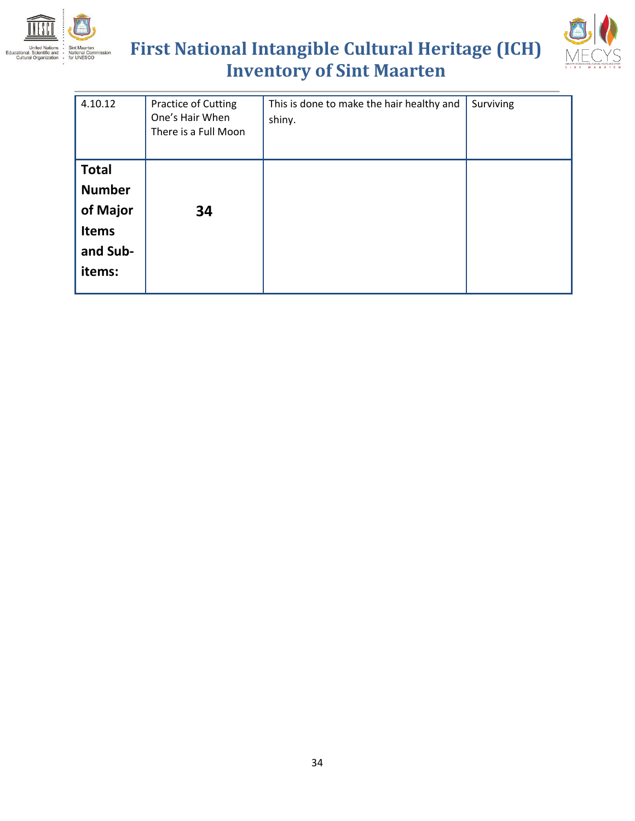



| 4.10.12                                                                         | Practice of Cutting<br>One's Hair When<br>There is a Full Moon | This is done to make the hair healthy and<br>shiny. | Surviving |
|---------------------------------------------------------------------------------|----------------------------------------------------------------|-----------------------------------------------------|-----------|
| <b>Total</b><br><b>Number</b><br>of Major<br><b>Items</b><br>and Sub-<br>items: | 34                                                             |                                                     |           |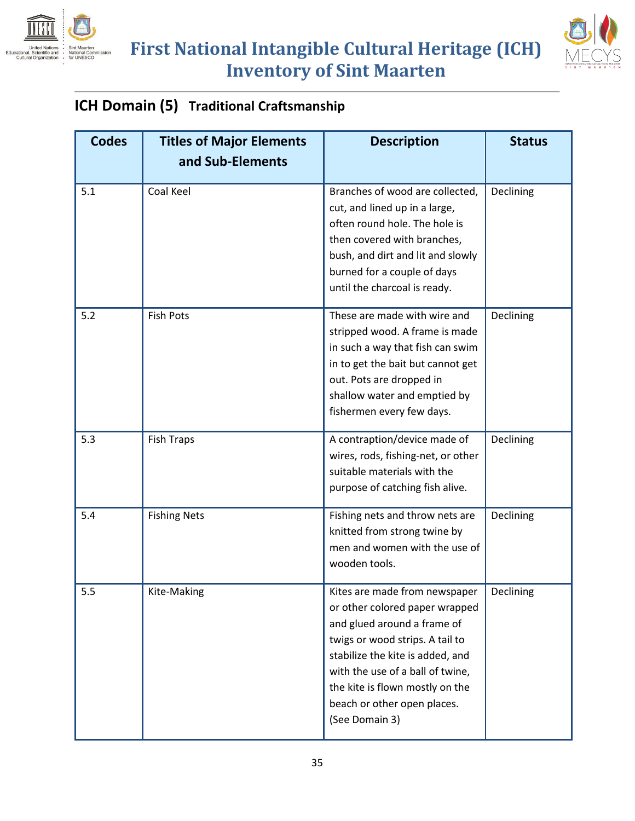



#### **ICH Domain (5) Traditional Craftsmanship**

| <b>Codes</b> | <b>Titles of Major Elements</b><br>and Sub-Elements | <b>Description</b>                                                                                                                                                                                                                                                                            | <b>Status</b> |
|--------------|-----------------------------------------------------|-----------------------------------------------------------------------------------------------------------------------------------------------------------------------------------------------------------------------------------------------------------------------------------------------|---------------|
| 5.1          | Coal Keel                                           | Branches of wood are collected,<br>cut, and lined up in a large,<br>often round hole. The hole is<br>then covered with branches,<br>bush, and dirt and lit and slowly<br>burned for a couple of days<br>until the charcoal is ready.                                                          | Declining     |
| 5.2          | <b>Fish Pots</b>                                    | These are made with wire and<br>stripped wood. A frame is made<br>in such a way that fish can swim<br>in to get the bait but cannot get<br>out. Pots are dropped in<br>shallow water and emptied by<br>fishermen every few days.                                                              | Declining     |
| 5.3          | <b>Fish Traps</b>                                   | A contraption/device made of<br>wires, rods, fishing-net, or other<br>suitable materials with the<br>purpose of catching fish alive.                                                                                                                                                          | Declining     |
| 5.4          | <b>Fishing Nets</b>                                 | Fishing nets and throw nets are<br>knitted from strong twine by<br>men and women with the use of<br>wooden tools.                                                                                                                                                                             | Declining     |
| 5.5          | Kite-Making                                         | Kites are made from newspaper<br>or other colored paper wrapped<br>and glued around a frame of<br>twigs or wood strips. A tail to<br>stabilize the kite is added, and<br>with the use of a ball of twine,<br>the kite is flown mostly on the<br>beach or other open places.<br>(See Domain 3) | Declining     |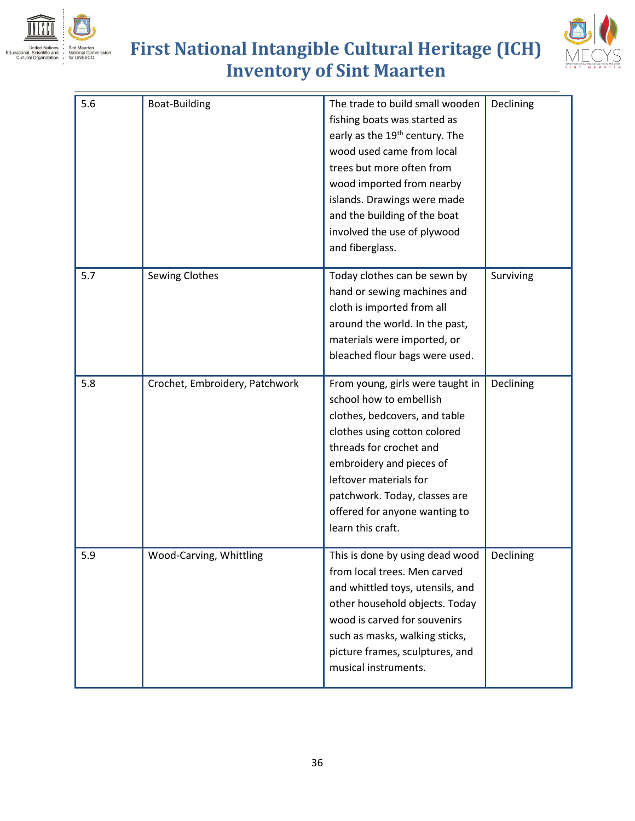



| 5.6 | Boat-Building                  | The trade to build small wooden<br>fishing boats was started as<br>early as the 19 <sup>th</sup> century. The<br>wood used came from local<br>trees but more often from<br>wood imported from nearby<br>islands. Drawings were made<br>and the building of the boat<br>involved the use of plywood<br>and fiberglass. | Declining |
|-----|--------------------------------|-----------------------------------------------------------------------------------------------------------------------------------------------------------------------------------------------------------------------------------------------------------------------------------------------------------------------|-----------|
| 5.7 | <b>Sewing Clothes</b>          | Today clothes can be sewn by<br>hand or sewing machines and<br>cloth is imported from all<br>around the world. In the past,<br>materials were imported, or<br>bleached flour bags were used.                                                                                                                          | Surviving |
| 5.8 | Crochet, Embroidery, Patchwork | From young, girls were taught in<br>school how to embellish<br>clothes, bedcovers, and table<br>clothes using cotton colored<br>threads for crochet and<br>embroidery and pieces of<br>leftover materials for<br>patchwork. Today, classes are<br>offered for anyone wanting to<br>learn this craft.                  | Declining |
| 5.9 | Wood-Carving, Whittling        | This is done by using dead wood<br>from local trees. Men carved<br>and whittled toys, utensils, and<br>other household objects. Today<br>wood is carved for souvenirs<br>such as masks, walking sticks,<br>picture frames, sculptures, and<br>musical instruments.                                                    | Declining |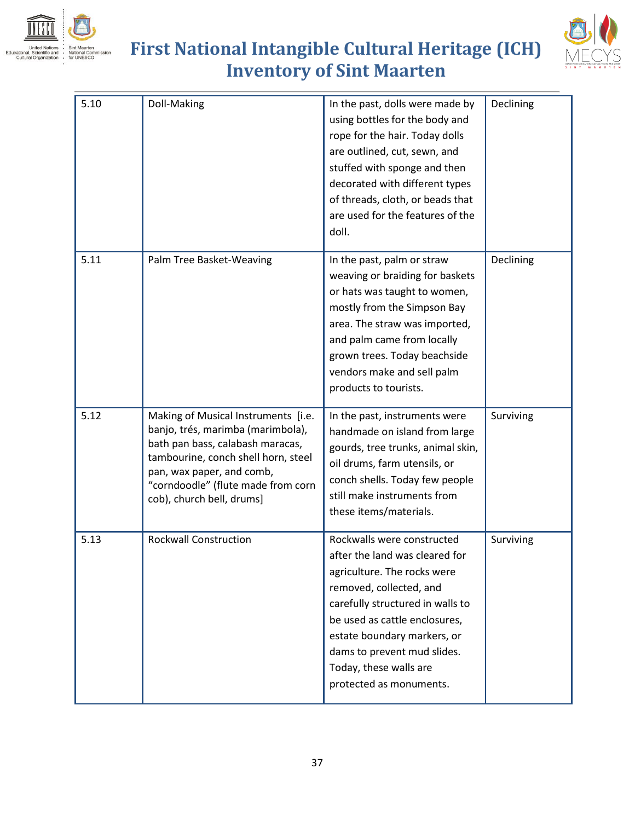



| 5.10 | Doll-Making                                                                                                                                                                                                                                         | In the past, dolls were made by<br>using bottles for the body and<br>rope for the hair. Today dolls<br>are outlined, cut, sewn, and<br>stuffed with sponge and then<br>decorated with different types<br>of threads, cloth, or beads that<br>are used for the features of the<br>doll.                         | Declining |
|------|-----------------------------------------------------------------------------------------------------------------------------------------------------------------------------------------------------------------------------------------------------|----------------------------------------------------------------------------------------------------------------------------------------------------------------------------------------------------------------------------------------------------------------------------------------------------------------|-----------|
| 5.11 | Palm Tree Basket-Weaving                                                                                                                                                                                                                            | In the past, palm or straw<br>weaving or braiding for baskets<br>or hats was taught to women,<br>mostly from the Simpson Bay<br>area. The straw was imported,<br>and palm came from locally<br>grown trees. Today beachside<br>vendors make and sell palm<br>products to tourists.                             | Declining |
| 5.12 | Making of Musical Instruments [i.e.<br>banjo, trés, marimba (marimbola),<br>bath pan bass, calabash maracas,<br>tambourine, conch shell horn, steel<br>pan, wax paper, and comb,<br>"corndoodle" (flute made from corn<br>cob), church bell, drums] | In the past, instruments were<br>handmade on island from large<br>gourds, tree trunks, animal skin,<br>oil drums, farm utensils, or<br>conch shells. Today few people<br>still make instruments from<br>these items/materials.                                                                                 | Surviving |
| 5.13 | <b>Rockwall Construction</b>                                                                                                                                                                                                                        | Rockwalls were constructed<br>after the land was cleared for<br>agriculture. The rocks were<br>removed, collected, and<br>carefully structured in walls to<br>be used as cattle enclosures,<br>estate boundary markers, or<br>dams to prevent mud slides.<br>Today, these walls are<br>protected as monuments. | Surviving |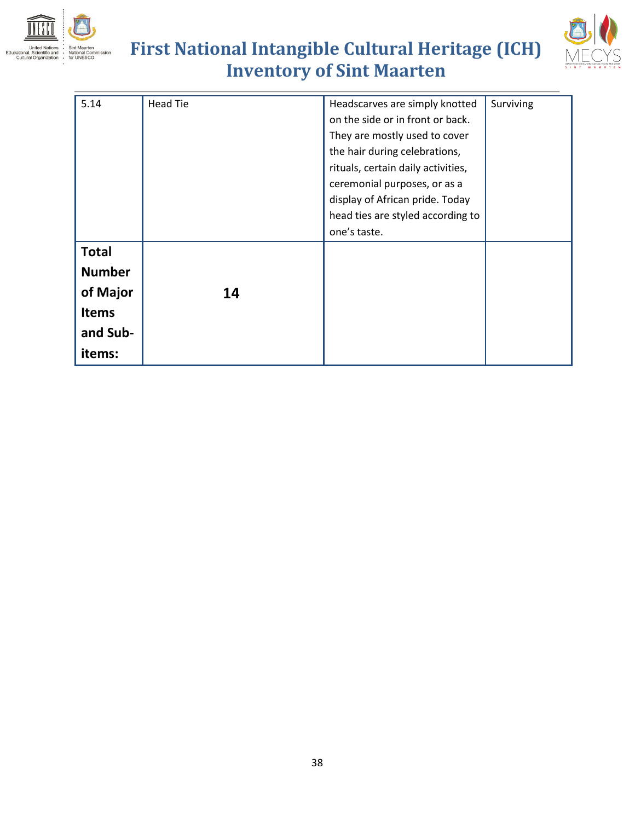



| 5.14          | <b>Head Tie</b> | Headscarves are simply knotted     | Surviving |
|---------------|-----------------|------------------------------------|-----------|
|               |                 | on the side or in front or back.   |           |
|               |                 | They are mostly used to cover      |           |
|               |                 | the hair during celebrations,      |           |
|               |                 | rituals, certain daily activities, |           |
|               |                 | ceremonial purposes, or as a       |           |
|               |                 | display of African pride. Today    |           |
|               |                 | head ties are styled according to  |           |
|               |                 | one's taste.                       |           |
| <b>Total</b>  |                 |                                    |           |
| <b>Number</b> |                 |                                    |           |
|               |                 |                                    |           |
| of Major      | 14              |                                    |           |
| <b>Items</b>  |                 |                                    |           |
| and Sub-      |                 |                                    |           |
| items:        |                 |                                    |           |
|               |                 |                                    |           |